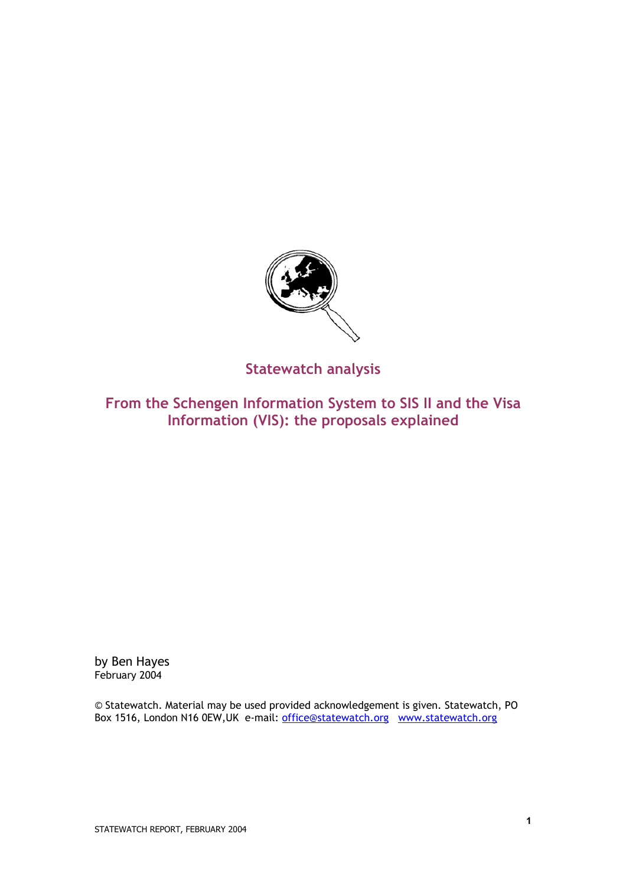

**Statewatch analysis** 

**From the Schengen Information System to SIS II and the Visa Information (VIS): the proposals explained** 

by Ben Hayes February 2004

© Statewatch. Material may be used provided acknowledgement is given. Statewatch, PO Box 1516, London N16 0EW,UK e-mail: office@statewatch.org www.statewatch.org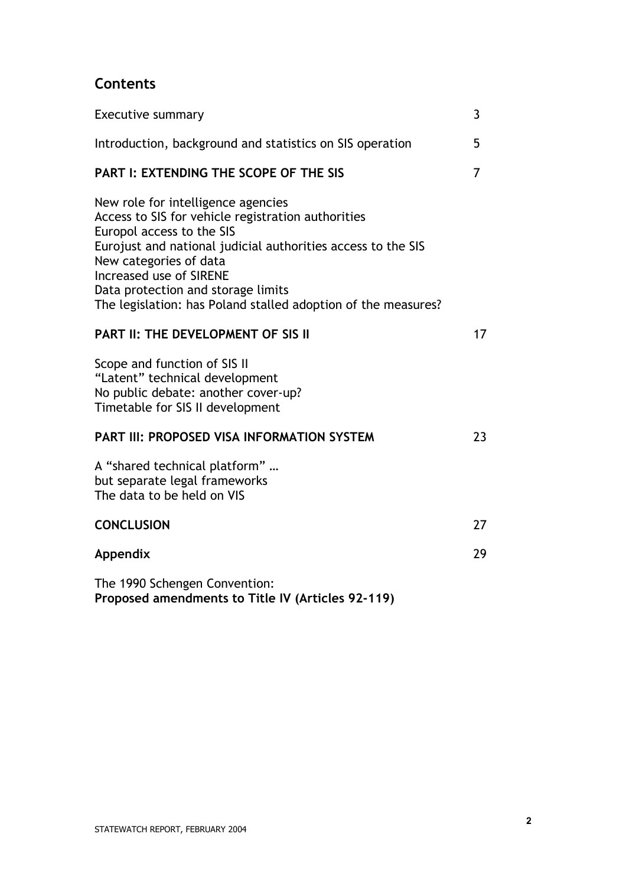# **Contents**

| Executive summary                                                                                                                                                                                                                                                                                                                                 | 3              |
|---------------------------------------------------------------------------------------------------------------------------------------------------------------------------------------------------------------------------------------------------------------------------------------------------------------------------------------------------|----------------|
| Introduction, background and statistics on SIS operation                                                                                                                                                                                                                                                                                          | 5              |
| PART I: EXTENDING THE SCOPE OF THE SIS                                                                                                                                                                                                                                                                                                            | $\overline{7}$ |
| New role for intelligence agencies<br>Access to SIS for vehicle registration authorities<br>Europol access to the SIS<br>Eurojust and national judicial authorities access to the SIS<br>New categories of data<br>Increased use of SIRENE<br>Data protection and storage limits<br>The legislation: has Poland stalled adoption of the measures? |                |
| <b>PART II: THE DEVELOPMENT OF SIS II</b>                                                                                                                                                                                                                                                                                                         | 17             |
| Scope and function of SIS II<br>"Latent" technical development<br>No public debate: another cover-up?<br>Timetable for SIS II development                                                                                                                                                                                                         |                |
| <b>PART III: PROPOSED VISA INFORMATION SYSTEM</b>                                                                                                                                                                                                                                                                                                 | 23             |
| A "shared technical platform"<br>but separate legal frameworks<br>The data to be held on VIS                                                                                                                                                                                                                                                      |                |
| <b>CONCLUSION</b>                                                                                                                                                                                                                                                                                                                                 | 27             |
| Appendix                                                                                                                                                                                                                                                                                                                                          | 29             |
| The 1990 Schengen Convention:                                                                                                                                                                                                                                                                                                                     |                |

**Proposed amendments to Title IV (Articles 92-119)**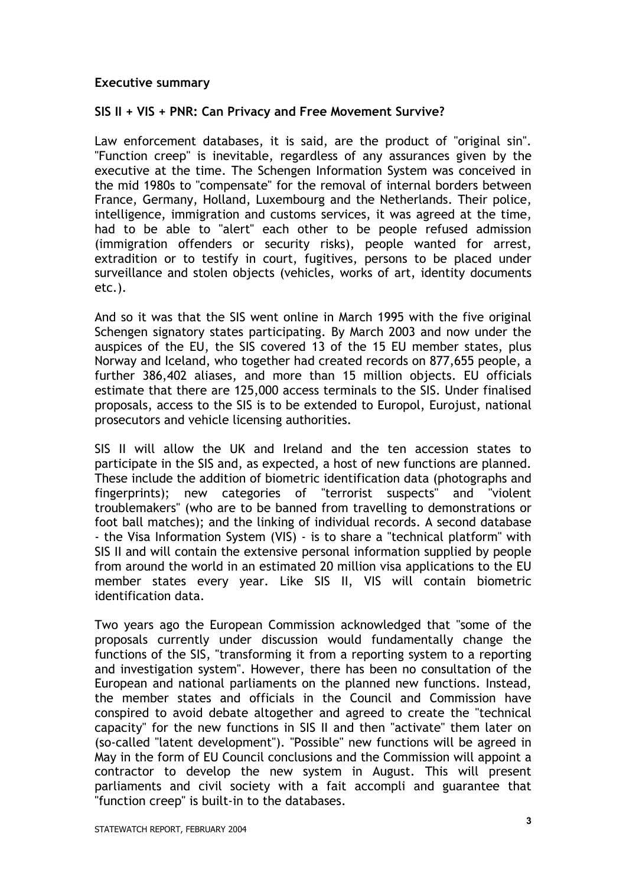# **Executive summary**

## **SIS II + VIS + PNR: Can Privacy and Free Movement Survive?**

Law enforcement databases, it is said, are the product of "original sin". "Function creep" is inevitable, regardless of any assurances given by the executive at the time. The Schengen Information System was conceived in the mid 1980s to "compensate" for the removal of internal borders between France, Germany, Holland, Luxembourg and the Netherlands. Their police, intelligence, immigration and customs services, it was agreed at the time, had to be able to "alert" each other to be people refused admission (immigration offenders or security risks), people wanted for arrest, extradition or to testify in court, fugitives, persons to be placed under surveillance and stolen objects (vehicles, works of art, identity documents etc.).

And so it was that the SIS went online in March 1995 with the five original Schengen signatory states participating. By March 2003 and now under the auspices of the EU, the SIS covered 13 of the 15 EU member states, plus Norway and Iceland, who together had created records on 877,655 people, a further 386,402 aliases, and more than 15 million objects. EU officials estimate that there are 125,000 access terminals to the SIS. Under finalised proposals, access to the SIS is to be extended to Europol, Eurojust, national prosecutors and vehicle licensing authorities.

SIS II will allow the UK and Ireland and the ten accession states to participate in the SIS and, as expected, a host of new functions are planned. These include the addition of biometric identification data (photographs and fingerprints); new categories of "terrorist suspects" and "violent troublemakers" (who are to be banned from travelling to demonstrations or foot ball matches); and the linking of individual records. A second database - the Visa Information System (VIS) - is to share a "technical platform" with SIS II and will contain the extensive personal information supplied by people from around the world in an estimated 20 million visa applications to the EU member states every year. Like SIS II, VIS will contain biometric identification data.

Two years ago the European Commission acknowledged that "some of the proposals currently under discussion would fundamentally change the functions of the SIS, "transforming it from a reporting system to a reporting and investigation system". However, there has been no consultation of the European and national parliaments on the planned new functions. Instead, the member states and officials in the Council and Commission have conspired to avoid debate altogether and agreed to create the "technical capacity" for the new functions in SIS II and then "activate" them later on (so-called "latent development"). "Possible" new functions will be agreed in May in the form of EU Council conclusions and the Commission will appoint a contractor to develop the new system in August. This will present parliaments and civil society with a fait accompli and guarantee that "function creep" is built-in to the databases.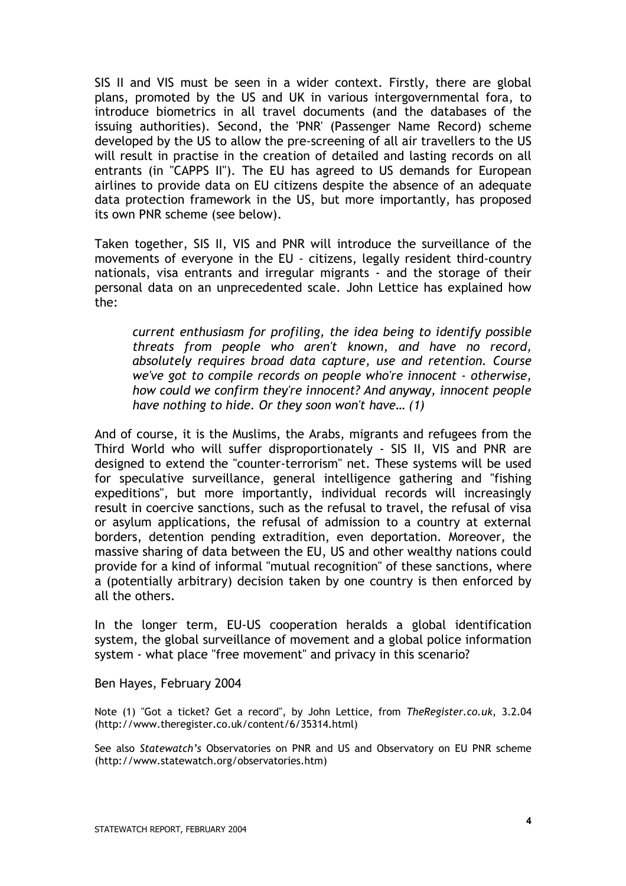SIS II and VIS must be seen in a wider context. Firstly, there are global plans, promoted by the US and UK in various intergovernmental fora, to introduce biometrics in all travel documents (and the databases of the issuing authorities). Second, the 'PNR' (Passenger Name Record) scheme developed by the US to allow the pre-screening of all air travellers to the US will result in practise in the creation of detailed and lasting records on all entrants (in "CAPPS II"). The EU has agreed to US demands for European airlines to provide data on EU citizens despite the absence of an adequate data protection framework in the US, but more importantly, has proposed its own PNR scheme (see below).

Taken together, SIS II, VIS and PNR will introduce the surveillance of the movements of everyone in the EU - citizens, legally resident third-country nationals, visa entrants and irregular migrants - and the storage of their personal data on an unprecedented scale. John Lettice has explained how the:

*current enthusiasm for profiling, the idea being to identify possible threats from people who aren't known, and have no record, absolutely requires broad data capture, use and retention. Course we've got to compile records on people who're innocent - otherwise, how could we confirm they're innocent? And anyway, innocent people have nothing to hide. Or they soon won't have… (1)* 

And of course, it is the Muslims, the Arabs, migrants and refugees from the Third World who will suffer disproportionately - SIS II, VIS and PNR are designed to extend the "counter-terrorism" net. These systems will be used for speculative surveillance, general intelligence gathering and "fishing expeditions", but more importantly, individual records will increasingly result in coercive sanctions, such as the refusal to travel, the refusal of visa or asylum applications, the refusal of admission to a country at external borders, detention pending extradition, even deportation. Moreover, the massive sharing of data between the EU, US and other wealthy nations could provide for a kind of informal "mutual recognition" of these sanctions, where a (potentially arbitrary) decision taken by one country is then enforced by all the others.

In the longer term, EU-US cooperation heralds a global identification system, the global surveillance of movement and a global police information system - what place "free movement" and privacy in this scenario?

Ben Hayes, February 2004

Note (1) "Got a ticket? Get a record", by John Lettice, from *TheRegister.co.uk*, 3.2.04 (http://www.theregister.co.uk/content/6/35314.html)

See also *Statewatch's* Observatories on PNR and US and Observatory on EU PNR scheme (http://www.statewatch.org/observatories.htm)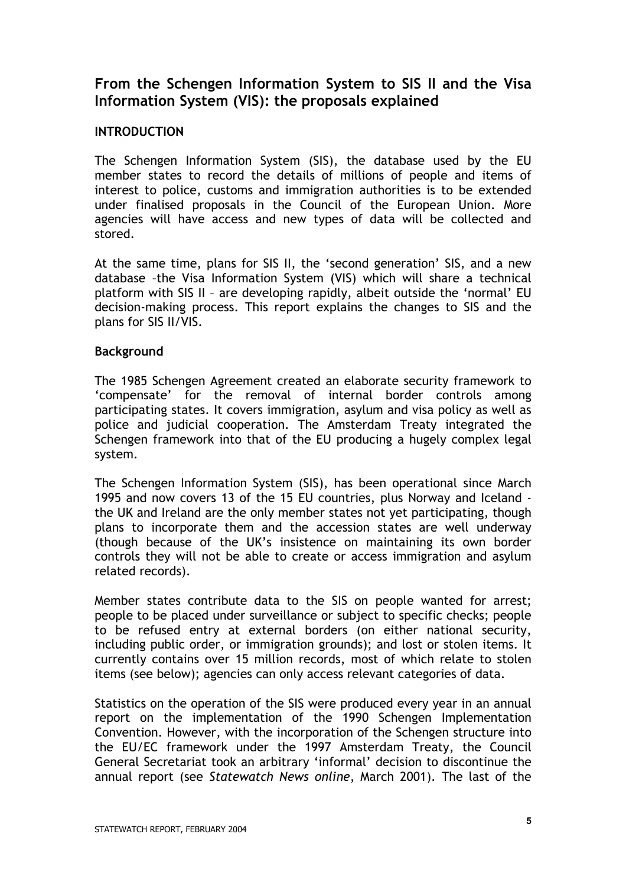# **From the Schengen Information System to SIS II and the Visa Information System (VIS): the proposals explained**

# **INTRODUCTION**

The Schengen Information System (SIS), the database used by the EU member states to record the details of millions of people and items of interest to police, customs and immigration authorities is to be extended under finalised proposals in the Council of the European Union. More agencies will have access and new types of data will be collected and stored.

At the same time, plans for SIS II, the 'second generation' SIS, and a new database –the Visa Information System (VIS) which will share a technical platform with SIS II – are developing rapidly, albeit outside the 'normal' EU decision-making process. This report explains the changes to SIS and the plans for SIS II/VIS.

## **Background**

The 1985 Schengen Agreement created an elaborate security framework to 'compensate' for the removal of internal border controls among participating states. It covers immigration, asylum and visa policy as well as police and judicial cooperation. The Amsterdam Treaty integrated the Schengen framework into that of the EU producing a hugely complex legal system.

The Schengen Information System (SIS), has been operational since March 1995 and now covers 13 of the 15 EU countries, plus Norway and Iceland the UK and Ireland are the only member states not yet participating, though plans to incorporate them and the accession states are well underway (though because of the UK's insistence on maintaining its own border controls they will not be able to create or access immigration and asylum related records).

Member states contribute data to the SIS on people wanted for arrest; people to be placed under surveillance or subject to specific checks; people to be refused entry at external borders (on either national security, including public order, or immigration grounds); and lost or stolen items. It currently contains over 15 million records, most of which relate to stolen items (see below); agencies can only access relevant categories of data.

Statistics on the operation of the SIS were produced every year in an annual report on the implementation of the 1990 Schengen Implementation Convention. However, with the incorporation of the Schengen structure into the EU/EC framework under the 1997 Amsterdam Treaty, the Council General Secretariat took an arbitrary 'informal' decision to discontinue the annual report (see *Statewatch News online*, March 2001). The last of the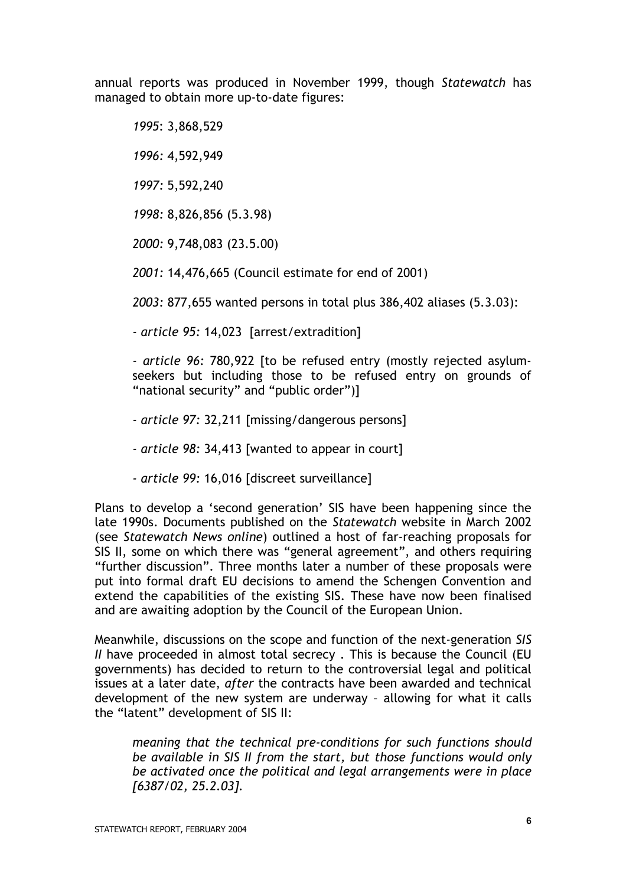annual reports was produced in November 1999, though *Statewatch* has managed to obtain more up-to-date figures:

*1995*: 3,868,529 *1996:* 4,592,949 *1997:* 5,592,240 *1998:* 8,826,856 (5.3.98) *2000:* 9,748,083 (23.5.00) *2001:* 14,476,665 (Council estimate for end of 2001) *2003:* 877,655 wanted persons in total plus 386,402 aliases (5.3.03): *- article 95:* 14,023 [arrest/extradition]

*- article 96:* 780,922 [to be refused entry (mostly rejected asylumseekers but including those to be refused entry on grounds of "national security" and "public order")]

*- article 97:* 32,211 [missing/dangerous persons]

*- article 98:* 34,413 [wanted to appear in court]

*- article 99:* 16,016 [discreet surveillance]

Plans to develop a 'second generation' SIS have been happening since the late 1990s. Documents published on the *Statewatch* website in March 2002 (see *Statewatch News online*) outlined a host of far-reaching proposals for SIS II, some on which there was "general agreement", and others requiring "further discussion". Three months later a number of these proposals were put into formal draft EU decisions to amend the Schengen Convention and extend the capabilities of the existing SIS. These have now been finalised and are awaiting adoption by the Council of the European Union.

Meanwhile, discussions on the scope and function of the next-generation *SIS II* have proceeded in almost total secrecy. This is because the Council (EU governments) has decided to return to the controversial legal and political issues at a later date, *after* the contracts have been awarded and technical development of the new system are underway – allowing for what it calls the "latent" development of SIS II:

*meaning that the technical pre-conditions for such functions should be available in SIS II from the start, but those functions would only be activated once the political and legal arrangements were in place [6387/02, 25.2.03].*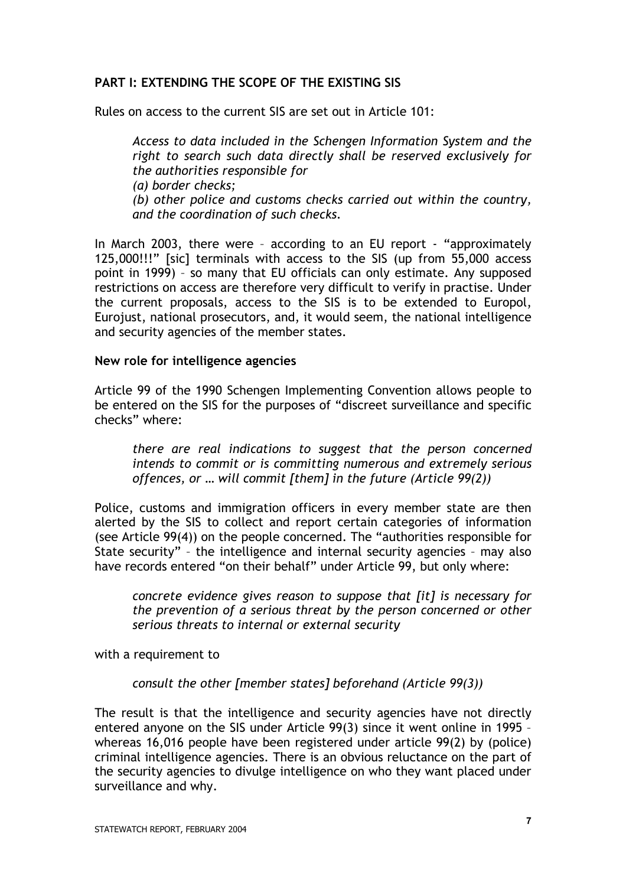# **PART I: EXTENDING THE SCOPE OF THE EXISTING SIS**

Rules on access to the current SIS are set out in Article 101:

*Access to data included in the Schengen Information System and the right to search such data directly shall be reserved exclusively for the authorities responsible for (a) border checks; (b) other police and customs checks carried out within the country, and the coordination of such checks.* 

In March 2003, there were – according to an EU report - "approximately 125,000!!!" [sic] terminals with access to the SIS (up from 55,000 access point in 1999) – so many that EU officials can only estimate. Any supposed restrictions on access are therefore very difficult to verify in practise. Under the current proposals, access to the SIS is to be extended to Europol, Eurojust, national prosecutors, and, it would seem, the national intelligence and security agencies of the member states.

#### **New role for intelligence agencies**

Article 99 of the 1990 Schengen Implementing Convention allows people to be entered on the SIS for the purposes of "discreet surveillance and specific checks" where:

*there are real indications to suggest that the person concerned intends to commit or is committing numerous and extremely serious offences, or … will commit [them] in the future (Article 99(2))* 

Police, customs and immigration officers in every member state are then alerted by the SIS to collect and report certain categories of information (see Article 99(4)) on the people concerned. The "authorities responsible for State security" – the intelligence and internal security agencies – may also have records entered "on their behalf" under Article 99, but only where:

*concrete evidence gives reason to suppose that [it] is necessary for the prevention of a serious threat by the person concerned or other serious threats to internal or external security* 

with a requirement to

*consult the other [member states] beforehand (Article 99(3))* 

The result is that the intelligence and security agencies have not directly entered anyone on the SIS under Article 99(3) since it went online in 1995 – whereas 16,016 people have been registered under article 99(2) by (police) criminal intelligence agencies. There is an obvious reluctance on the part of the security agencies to divulge intelligence on who they want placed under surveillance and why.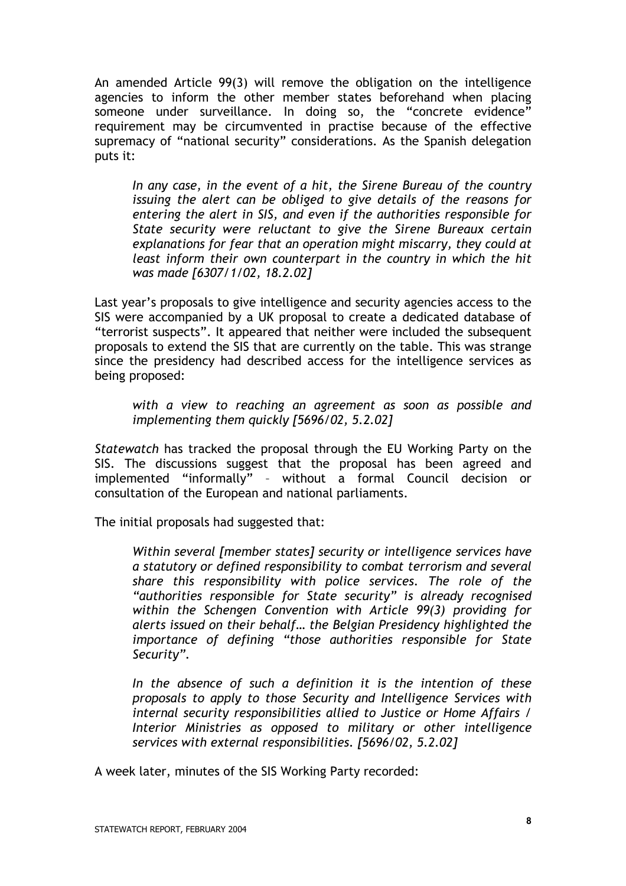An amended Article 99(3) will remove the obligation on the intelligence agencies to inform the other member states beforehand when placing someone under surveillance. In doing so, the "concrete evidence" requirement may be circumvented in practise because of the effective supremacy of "national security" considerations. As the Spanish delegation puts it:

*In any case, in the event of a hit, the Sirene Bureau of the country issuing the alert can be obliged to give details of the reasons for entering the alert in SIS, and even if the authorities responsible for State security were reluctant to give the Sirene Bureaux certain explanations for fear that an operation might miscarry, they could at least inform their own counterpart in the country in which the hit was made [6307/1/02, 18.2.02]* 

Last year's proposals to give intelligence and security agencies access to the SIS were accompanied by a UK proposal to create a dedicated database of "terrorist suspects". It appeared that neither were included the subsequent proposals to extend the SIS that are currently on the table. This was strange since the presidency had described access for the intelligence services as being proposed:

*with a view to reaching an agreement as soon as possible and implementing them quickly [5696/02, 5.2.02]* 

*Statewatch* has tracked the proposal through the EU Working Party on the SIS. The discussions suggest that the proposal has been agreed and implemented "informally" – without a formal Council decision or consultation of the European and national parliaments.

The initial proposals had suggested that:

*Within several [member states] security or intelligence services have a statutory or defined responsibility to combat terrorism and several share this responsibility with police services. The role of the "authorities responsible for State security" is already recognised within the Schengen Convention with Article 99(3) providing for alerts issued on their behalf… the Belgian Presidency highlighted the importance of defining "those authorities responsible for State Security".* 

*In the absence of such a definition it is the intention of these proposals to apply to those Security and Intelligence Services with internal security responsibilities allied to Justice or Home Affairs / Interior Ministries as opposed to military or other intelligence services with external responsibilities. [5696/02, 5.2.02]* 

A week later, minutes of the SIS Working Party recorded: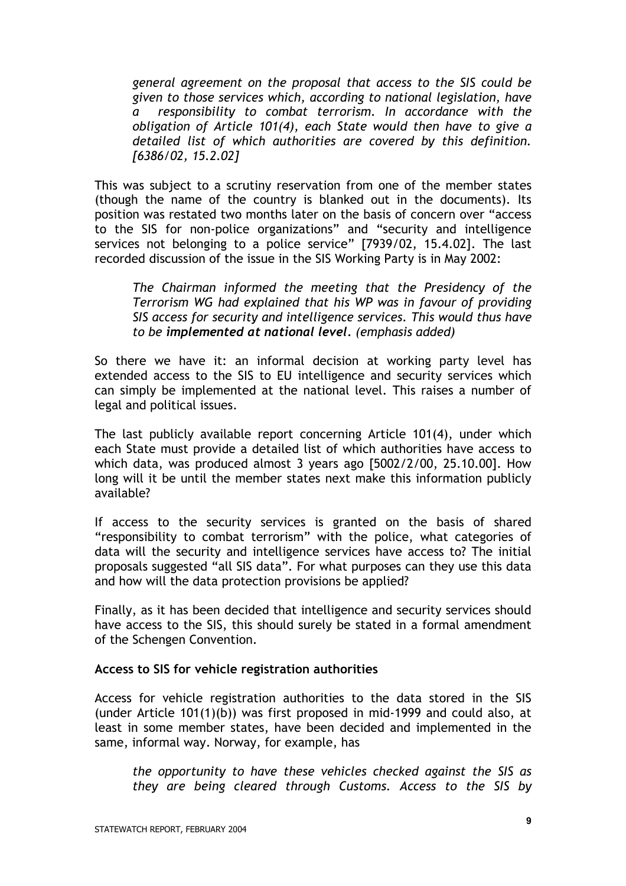*general agreement on the proposal that access to the SIS could be given to those services which, according to national legislation, have*  responsibility to combat terrorism. In accordance with the *obligation of Article 101(4), each State would then have to give a detailed list of which authorities are covered by this definition. [6386/02, 15.2.02]* 

This was subject to a scrutiny reservation from one of the member states (though the name of the country is blanked out in the documents). Its position was restated two months later on the basis of concern over "access to the SIS for non-police organizations" and "security and intelligence services not belonging to a police service" [7939/02, 15.4.02]. The last recorded discussion of the issue in the SIS Working Party is in May 2002:

*The Chairman informed the meeting that the Presidency of the Terrorism WG had explained that his WP was in favour of providing SIS access for security and intelligence services. This would thus have to be implemented at national level. (emphasis added)* 

So there we have it: an informal decision at working party level has extended access to the SIS to EU intelligence and security services which can simply be implemented at the national level. This raises a number of legal and political issues.

The last publicly available report concerning Article 101(4), under which each State must provide a detailed list of which authorities have access to which data, was produced almost 3 years ago [5002/2/00, 25.10.00]. How long will it be until the member states next make this information publicly available?

If access to the security services is granted on the basis of shared "responsibility to combat terrorism" with the police, what categories of data will the security and intelligence services have access to? The initial proposals suggested "all SIS data". For what purposes can they use this data and how will the data protection provisions be applied?

Finally, as it has been decided that intelligence and security services should have access to the SIS, this should surely be stated in a formal amendment of the Schengen Convention.

#### **Access to SIS for vehicle registration authorities**

Access for vehicle registration authorities to the data stored in the SIS (under Article 101(1)(b)) was first proposed in mid-1999 and could also, at least in some member states, have been decided and implemented in the same, informal way. Norway, for example, has

*the opportunity to have these vehicles checked against the SIS as they are being cleared through Customs. Access to the SIS by*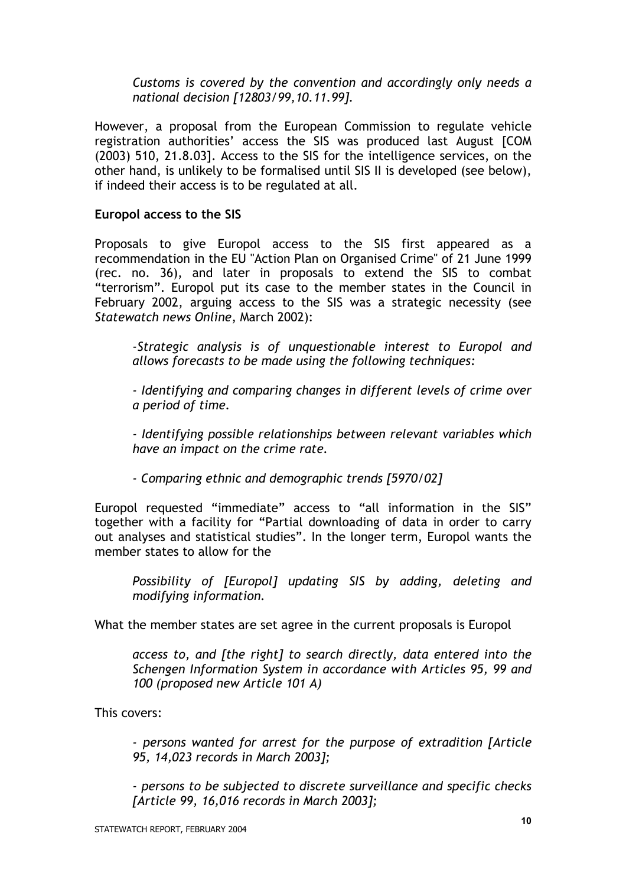*Customs is covered by the convention and accordingly only needs a national decision [12803/99,10.11.99].* 

However, a proposal from the European Commission to regulate vehicle registration authorities' access the SIS was produced last August [COM (2003) 510, 21.8.03]. Access to the SIS for the intelligence services, on the other hand, is unlikely to be formalised until SIS II is developed (see below), if indeed their access is to be regulated at all.

# **Europol access to the SIS**

Proposals to give Europol access to the SIS first appeared as a recommendation in the EU "Action Plan on Organised Crime" of 21 June 1999 (rec. no. 36), and later in proposals to extend the SIS to combat "terrorism". Europol put its case to the member states in the Council in February 2002, arguing access to the SIS was a strategic necessity (see *Statewatch news Online*, March 2002):

*-Strategic analysis is of unquestionable interest to Europol and allows forecasts to be made using the following techniques:* 

*- Identifying and comparing changes in different levels of crime over a period of time.* 

*- Identifying possible relationships between relevant variables which have an impact on the crime rate.* 

*- Comparing ethnic and demographic trends [5970/02]* 

Europol requested "immediate" access to "all information in the SIS" together with a facility for "Partial downloading of data in order to carry out analyses and statistical studies". In the longer term, Europol wants the member states to allow for the

*Possibility of [Europol] updating SIS by adding, deleting and modifying information.* 

What the member states are set agree in the current proposals is Europol

*access to, and [the right] to search directly, data entered into the Schengen Information System in accordance with Articles 95, 99 and 100 (proposed new Article 101 A)* 

This covers:

*- persons wanted for arrest for the purpose of extradition [Article 95, 14,023 records in March 2003];* 

*- persons to be subjected to discrete surveillance and specific checks [Article 99, 16,016 records in March 2003];*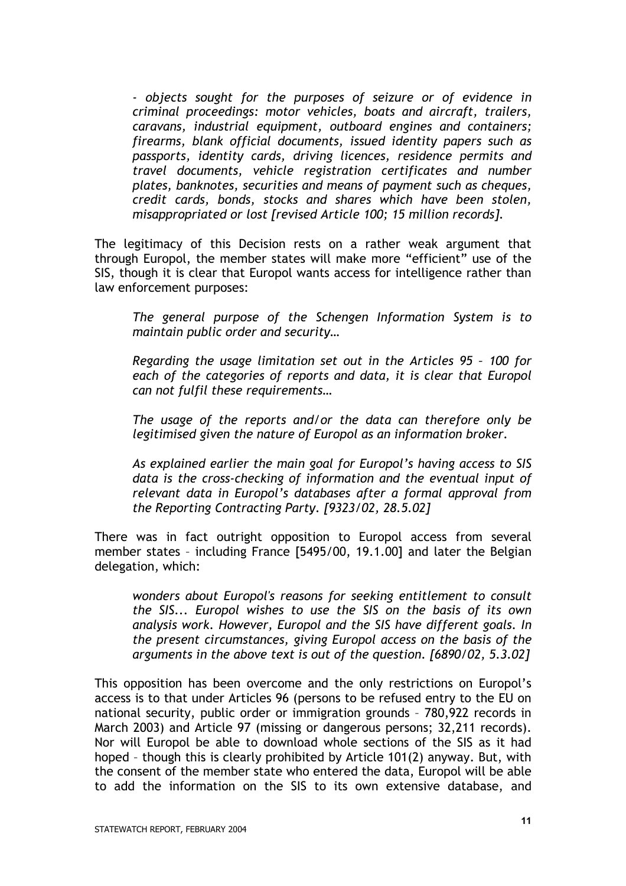*- objects sought for the purposes of seizure or of evidence in criminal proceedings: motor vehicles, boats and aircraft, trailers, caravans, industrial equipment, outboard engines and containers; firearms, blank official documents, issued identity papers such as passports, identity cards, driving licences, residence permits and travel documents, vehicle registration certificates and number plates, banknotes, securities and means of payment such as cheques, credit cards, bonds, stocks and shares which have been stolen, misappropriated or lost [revised Article 100; 15 million records].*

The legitimacy of this Decision rests on a rather weak argument that through Europol, the member states will make more "efficient" use of the SIS, though it is clear that Europol wants access for intelligence rather than law enforcement purposes:

*The general purpose of the Schengen Information System is to maintain public order and security…* 

*Regarding the usage limitation set out in the Articles 95 – 100 for each of the categories of reports and data, it is clear that Europol can not fulfil these requirements…* 

*The usage of the reports and/or the data can therefore only be legitimised given the nature of Europol as an information broker.* 

*As explained earlier the main goal for Europol's having access to SIS data is the cross-checking of information and the eventual input of relevant data in Europol's databases after a formal approval from the Reporting Contracting Party. [9323/02, 28.5.02]* 

There was in fact outright opposition to Europol access from several member states – including France [5495/00, 19.1.00] and later the Belgian delegation, which:

*wonders about Europol's reasons for seeking entitlement to consult the SIS... Europol wishes to use the SIS on the basis of its own analysis work. However, Europol and the SIS have different goals. In the present circumstances, giving Europol access on the basis of the arguments in the above text is out of the question. [6890/02, 5.3.02]* 

This opposition has been overcome and the only restrictions on Europol's access is to that under Articles 96 (persons to be refused entry to the EU on national security, public order or immigration grounds – 780,922 records in March 2003) and Article 97 (missing or dangerous persons; 32,211 records). Nor will Europol be able to download whole sections of the SIS as it had hoped – though this is clearly prohibited by Article 101(2) anyway. But, with the consent of the member state who entered the data, Europol will be able to add the information on the SIS to its own extensive database, and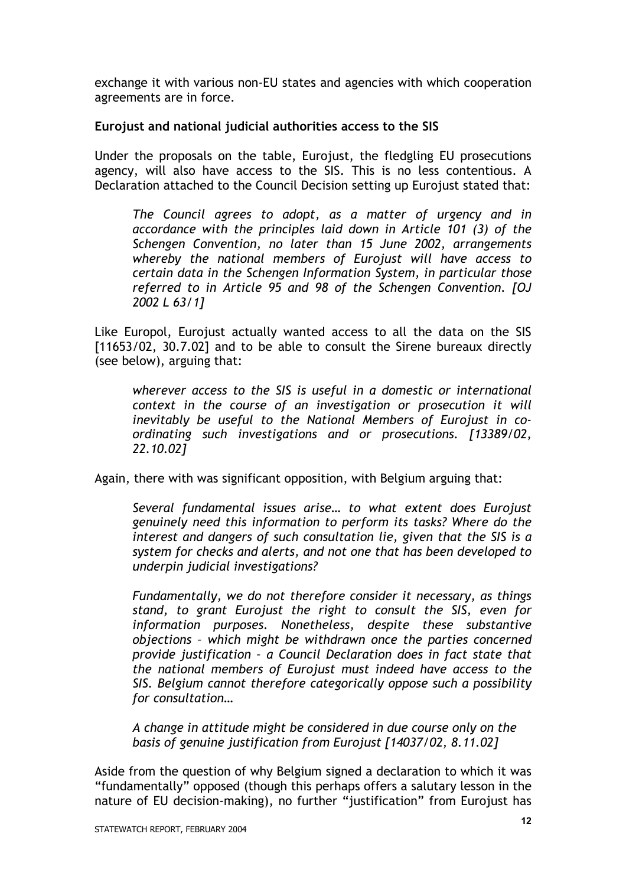exchange it with various non-EU states and agencies with which cooperation agreements are in force.

# **Eurojust and national judicial authorities access to the SIS**

Under the proposals on the table, Eurojust, the fledgling EU prosecutions agency, will also have access to the SIS. This is no less contentious. A Declaration attached to the Council Decision setting up Eurojust stated that:

*The Council agrees to adopt, as a matter of urgency and in accordance with the principles laid down in Article 101 (3) of the Schengen Convention, no later than 15 June 2002, arrangements whereby the national members of Eurojust will have access to certain data in the Schengen Information System, in particular those referred to in Article 95 and 98 of the Schengen Convention. [OJ 2002 L 63/1]* 

Like Europol, Eurojust actually wanted access to all the data on the SIS [11653/02, 30.7.02] and to be able to consult the Sirene bureaux directly (see below), arguing that:

*wherever access to the SIS is useful in a domestic or international context in the course of an investigation or prosecution it will inevitably be useful to the National Members of Eurojust in coordinating such investigations and or prosecutions. [13389/02, 22.10.02]*

Again, there with was significant opposition, with Belgium arguing that:

*Several fundamental issues arise… to what extent does Eurojust genuinely need this information to perform its tasks? Where do the interest and dangers of such consultation lie, given that the SIS is a system for checks and alerts, and not one that has been developed to underpin judicial investigations?* 

*Fundamentally, we do not therefore consider it necessary, as things stand, to grant Eurojust the right to consult the SIS, even for information purposes. Nonetheless, despite these substantive objections – which might be withdrawn once the parties concerned provide justification – a Council Declaration does in fact state that the national members of Eurojust must indeed have access to the SIS. Belgium cannot therefore categorically oppose such a possibility for consultation…* 

*A change in attitude might be considered in due course only on the basis of genuine justification from Eurojust [14037/02, 8.11.02]* 

Aside from the question of why Belgium signed a declaration to which it was "fundamentally" opposed (though this perhaps offers a salutary lesson in the nature of EU decision-making), no further "justification" from Eurojust has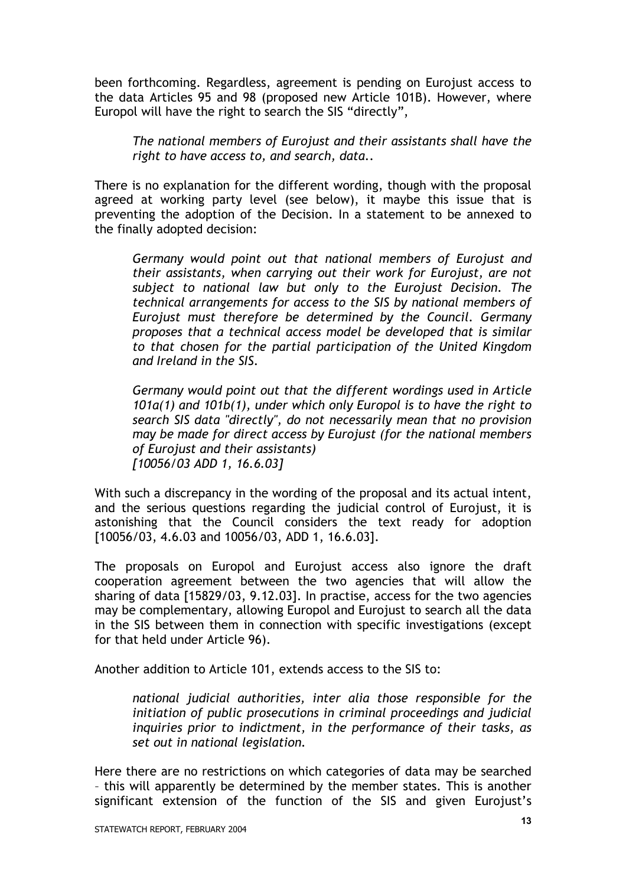been forthcoming. Regardless, agreement is pending on Eurojust access to the data Articles 95 and 98 (proposed new Article 101B). However, where Europol will have the right to search the SIS "directly",

*The national members of Eurojust and their assistants shall have the right to have access to, and search, data..*

There is no explanation for the different wording, though with the proposal agreed at working party level (see below), it maybe this issue that is preventing the adoption of the Decision. In a statement to be annexed to the finally adopted decision:

*Germany would point out that national members of Eurojust and their assistants, when carrying out their work for Eurojust, are not subject to national law but only to the Eurojust Decision. The technical arrangements for access to the SIS by national members of Eurojust must therefore be determined by the Council. Germany proposes that a technical access model be developed that is similar to that chosen for the partial participation of the United Kingdom and Ireland in the SIS.* 

*Germany would point out that the different wordings used in Article 101a(1) and 101b(1), under which only Europol is to have the right to search SIS data "directly", do not necessarily mean that no provision may be made for direct access by Eurojust (for the national members of Eurojust and their assistants) [10056/03 ADD 1, 16.6.03]*

With such a discrepancy in the wording of the proposal and its actual intent, and the serious questions regarding the judicial control of Eurojust, it is astonishing that the Council considers the text ready for adoption [10056/03, 4.6.03 and 10056/03, ADD 1, 16.6.03].

The proposals on Europol and Eurojust access also ignore the draft cooperation agreement between the two agencies that will allow the sharing of data [15829/03, 9.12.03]. In practise, access for the two agencies may be complementary, allowing Europol and Eurojust to search all the data in the SIS between them in connection with specific investigations (except for that held under Article 96).

Another addition to Article 101, extends access to the SIS to:

*national judicial authorities, inter alia those responsible for the initiation of public prosecutions in criminal proceedings and judicial inquiries prior to indictment, in the performance of their tasks, as set out in national legislation.* 

Here there are no restrictions on which categories of data may be searched – this will apparently be determined by the member states. This is another significant extension of the function of the SIS and given Eurojust's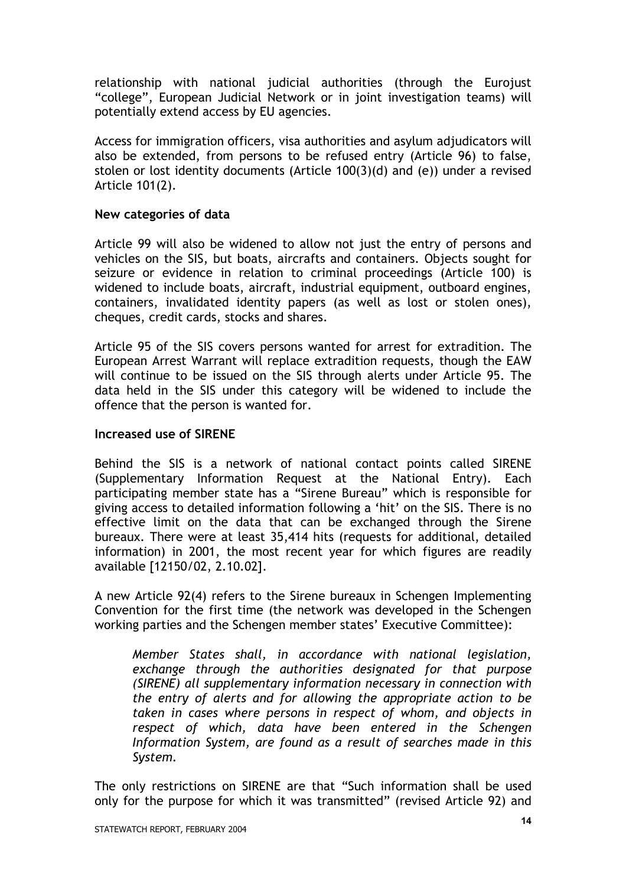relationship with national judicial authorities (through the Eurojust "college", European Judicial Network or in joint investigation teams) will potentially extend access by EU agencies.

Access for immigration officers, visa authorities and asylum adjudicators will also be extended, from persons to be refused entry (Article 96) to false, stolen or lost identity documents (Article 100(3)(d) and (e)) under a revised Article 101(2).

## **New categories of data**

Article 99 will also be widened to allow not just the entry of persons and vehicles on the SIS, but boats, aircrafts and containers. Objects sought for seizure or evidence in relation to criminal proceedings (Article 100) is widened to include boats, aircraft, industrial equipment, outboard engines, containers, invalidated identity papers (as well as lost or stolen ones), cheques, credit cards, stocks and shares.

Article 95 of the SIS covers persons wanted for arrest for extradition. The European Arrest Warrant will replace extradition requests, though the EAW will continue to be issued on the SIS through alerts under Article 95. The data held in the SIS under this category will be widened to include the offence that the person is wanted for.

## **Increased use of SIRENE**

Behind the SIS is a network of national contact points called SIRENE (Supplementary Information Request at the National Entry). Each participating member state has a "Sirene Bureau" which is responsible for giving access to detailed information following a 'hit' on the SIS. There is no effective limit on the data that can be exchanged through the Sirene bureaux. There were at least 35,414 hits (requests for additional, detailed information) in 2001, the most recent year for which figures are readily available [12150/02, 2.10.02].

A new Article 92(4) refers to the Sirene bureaux in Schengen Implementing Convention for the first time (the network was developed in the Schengen working parties and the Schengen member states' Executive Committee):

*Member States shall, in accordance with national legislation, exchange through the authorities designated for that purpose (SIRENE) all supplementary information necessary in connection with the entry of alerts and for allowing the appropriate action to be taken in cases where persons in respect of whom, and objects in respect of which, data have been entered in the Schengen Information System, are found as a result of searches made in this System.* 

The only restrictions on SIRENE are that "Such information shall be used only for the purpose for which it was transmitted" (revised Article 92) and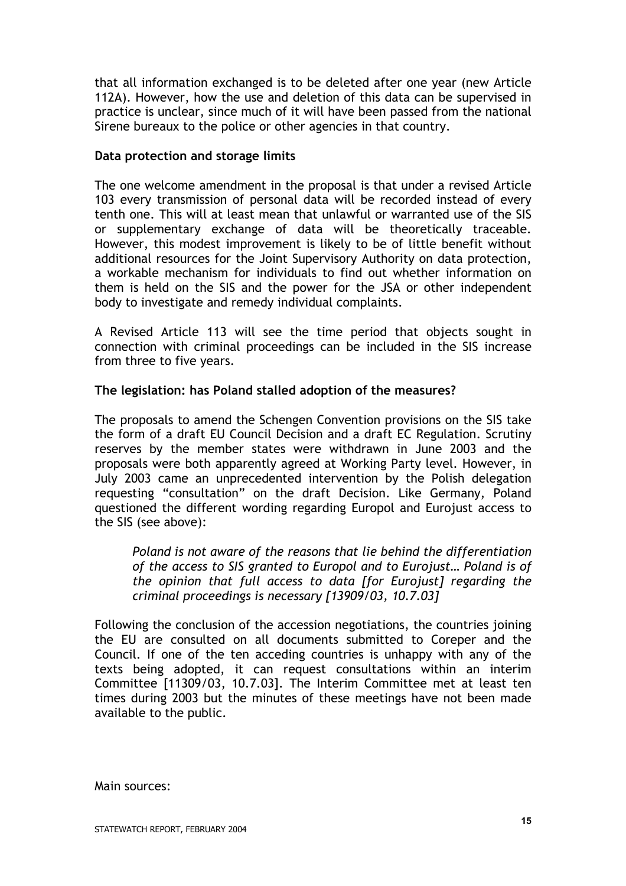that all information exchanged is to be deleted after one year (new Article 112A). However, how the use and deletion of this data can be supervised in practice is unclear, since much of it will have been passed from the national Sirene bureaux to the police or other agencies in that country.

## **Data protection and storage limits**

The one welcome amendment in the proposal is that under a revised Article 103 every transmission of personal data will be recorded instead of every tenth one. This will at least mean that unlawful or warranted use of the SIS or supplementary exchange of data will be theoretically traceable. However, this modest improvement is likely to be of little benefit without additional resources for the Joint Supervisory Authority on data protection, a workable mechanism for individuals to find out whether information on them is held on the SIS and the power for the JSA or other independent body to investigate and remedy individual complaints.

A Revised Article 113 will see the time period that objects sought in connection with criminal proceedings can be included in the SIS increase from three to five years.

# **The legislation: has Poland stalled adoption of the measures?**

The proposals to amend the Schengen Convention provisions on the SIS take the form of a draft EU Council Decision and a draft EC Regulation. Scrutiny reserves by the member states were withdrawn in June 2003 and the proposals were both apparently agreed at Working Party level. However, in July 2003 came an unprecedented intervention by the Polish delegation requesting "consultation" on the draft Decision. Like Germany, Poland questioned the different wording regarding Europol and Eurojust access to the SIS (see above):

*Poland is not aware of the reasons that lie behind the differentiation of the access to SIS granted to Europol and to Eurojust… Poland is of the opinion that full access to data [for Eurojust] regarding the criminal proceedings is necessary [13909/03, 10.7.03]*

Following the conclusion of the accession negotiations, the countries joining the EU are consulted on all documents submitted to Coreper and the Council. If one of the ten acceding countries is unhappy with any of the texts being adopted, it can request consultations within an interim Committee [11309/03, 10.7.03]. The Interim Committee met at least ten times during 2003 but the minutes of these meetings have not been made available to the public.

Main sources: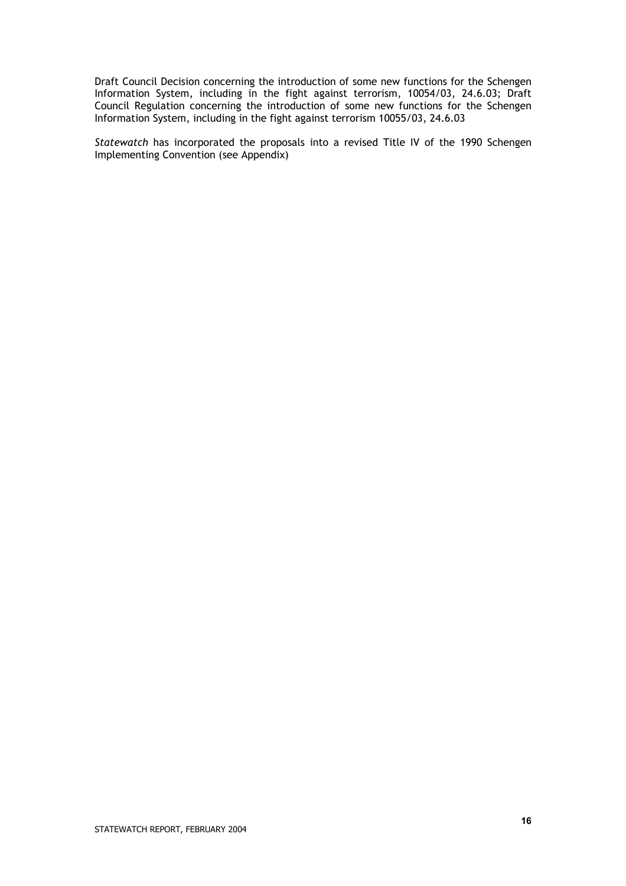Draft Council Decision concerning the introduction of some new functions for the Schengen Information System, including in the fight against terrorism, 10054/03, 24.6.03; Draft Council Regulation concerning the introduction of some new functions for the Schengen Information System, including in the fight against terrorism 10055/03, 24.6.03

*Statewatch* has incorporated the proposals into a revised Title IV of the 1990 Schengen Implementing Convention (see Appendix)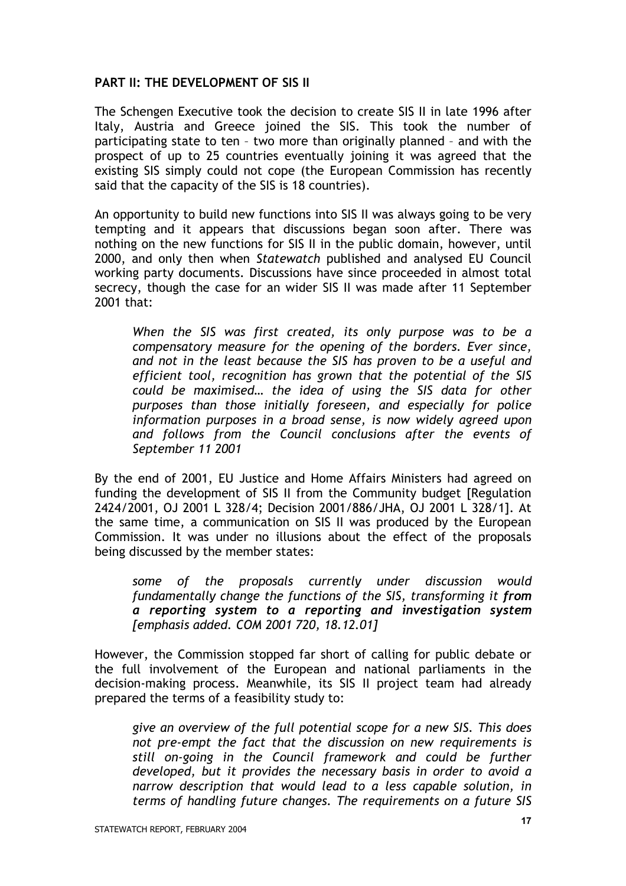## **PART II: THE DEVELOPMENT OF SIS II**

The Schengen Executive took the decision to create SIS II in late 1996 after Italy, Austria and Greece joined the SIS. This took the number of participating state to ten – two more than originally planned – and with the prospect of up to 25 countries eventually joining it was agreed that the existing SIS simply could not cope (the European Commission has recently said that the capacity of the SIS is 18 countries).

An opportunity to build new functions into SIS II was always going to be very tempting and it appears that discussions began soon after. There was nothing on the new functions for SIS II in the public domain, however, until 2000, and only then when *Statewatch* published and analysed EU Council working party documents. Discussions have since proceeded in almost total secrecy, though the case for an wider SIS II was made after 11 September 2001 that:

*When the SIS was first created, its only purpose was to be a compensatory measure for the opening of the borders. Ever since, and not in the least because the SIS has proven to be a useful and efficient tool, recognition has grown that the potential of the SIS could be maximised… the idea of using the SIS data for other purposes than those initially foreseen, and especially for police information purposes in a broad sense, is now widely agreed upon and follows from the Council conclusions after the events of September 11 2001*

By the end of 2001, EU Justice and Home Affairs Ministers had agreed on funding the development of SIS II from the Community budget [Regulation 2424/2001, OJ 2001 L 328/4; Decision 2001/886/JHA, OJ 2001 L 328/1]. At the same time, a communication on SIS II was produced by the European Commission. It was under no illusions about the effect of the proposals being discussed by the member states:

*some of the proposals currently under discussion would fundamentally change the functions of the SIS, transforming it from a reporting system to a reporting and investigation system [emphasis added. COM 2001 720, 18.12.01]* 

However, the Commission stopped far short of calling for public debate or the full involvement of the European and national parliaments in the decision-making process. Meanwhile, its SIS II project team had already prepared the terms of a feasibility study to:

*give an overview of the full potential scope for a new SIS. This does not pre-empt the fact that the discussion on new requirements is still on-going in the Council framework and could be further developed, but it provides the necessary basis in order to avoid a narrow description that would lead to a less capable solution, in terms of handling future changes. The requirements on a future SIS*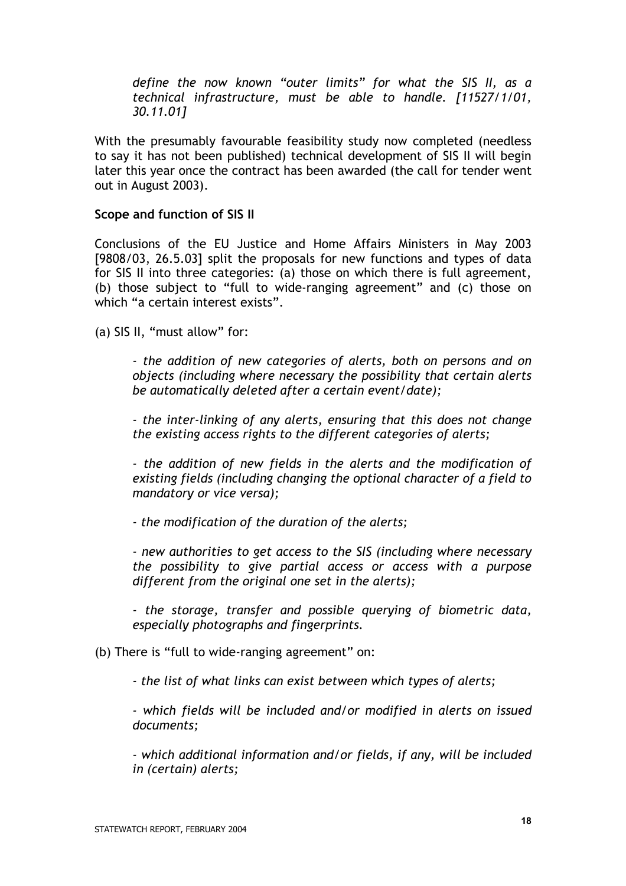*define the now known "outer limits" for what the SIS II, as a technical infrastructure, must be able to handle. [11527/1/01, 30.11.01]* 

With the presumably favourable feasibility study now completed (needless to say it has not been published) technical development of SIS II will begin later this year once the contract has been awarded (the call for tender went out in August 2003).

#### **Scope and function of SIS II**

Conclusions of the EU Justice and Home Affairs Ministers in May 2003 [9808/03, 26.5.03] split the proposals for new functions and types of data for SIS II into three categories: (a) those on which there is full agreement, (b) those subject to "full to wide-ranging agreement" and (c) those on which "a certain interest exists".

(a) SIS II, "must allow" for:

*- the addition of new categories of alerts, both on persons and on objects (including where necessary the possibility that certain alerts be automatically deleted after a certain event/date);* 

*- the inter-linking of any alerts, ensuring that this does not change the existing access rights to the different categories of alerts;* 

*- the addition of new fields in the alerts and the modification of existing fields (including changing the optional character of a field to mandatory or vice versa);* 

*- the modification of the duration of the alerts;* 

*- new authorities to get access to the SIS (including where necessary the possibility to give partial access or access with a purpose different from the original one set in the alerts);* 

*- the storage, transfer and possible querying of biometric data, especially photographs and fingerprints.*

(b) There is "full to wide-ranging agreement" on:

*- the list of what links can exist between which types of alerts;* 

*- which fields will be included and/or modified in alerts on issued documents;* 

*- which additional information and/or fields, if any, will be included in (certain) alerts;*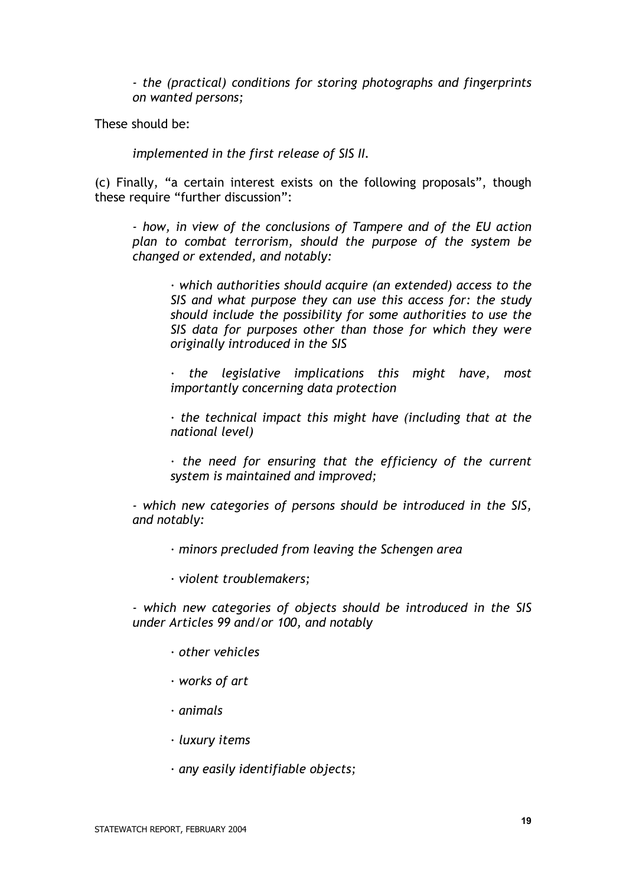*- the (practical) conditions for storing photographs and fingerprints on wanted persons;*

These should be:

*implemented in the first release of SIS II.* 

(c) Finally, "a certain interest exists on the following proposals", though these require "further discussion":

*- how, in view of the conclusions of Tampere and of the EU action plan to combat terrorism, should the purpose of the system be changed or extended, and notably:* 

*· which authorities should acquire (an extended) access to the SIS and what purpose they can use this access for: the study should include the possibility for some authorities to use the SIS data for purposes other than those for which they were originally introduced in the SIS* 

*· the legislative implications this might have, most importantly concerning data protection* 

*· the technical impact this might have (including that at the national level)* 

*· the need for ensuring that the efficiency of the current system is maintained and improved;* 

*- which new categories of persons should be introduced in the SIS, and notably:* 

*· minors precluded from leaving the Schengen area* 

*· violent troublemakers;* 

*- which new categories of objects should be introduced in the SIS under Articles 99 and/or 100, and notably* 

- *· other vehicles*
- *· works of art*
- *· animals*
- *· luxury items*
- *· any easily identifiable objects;*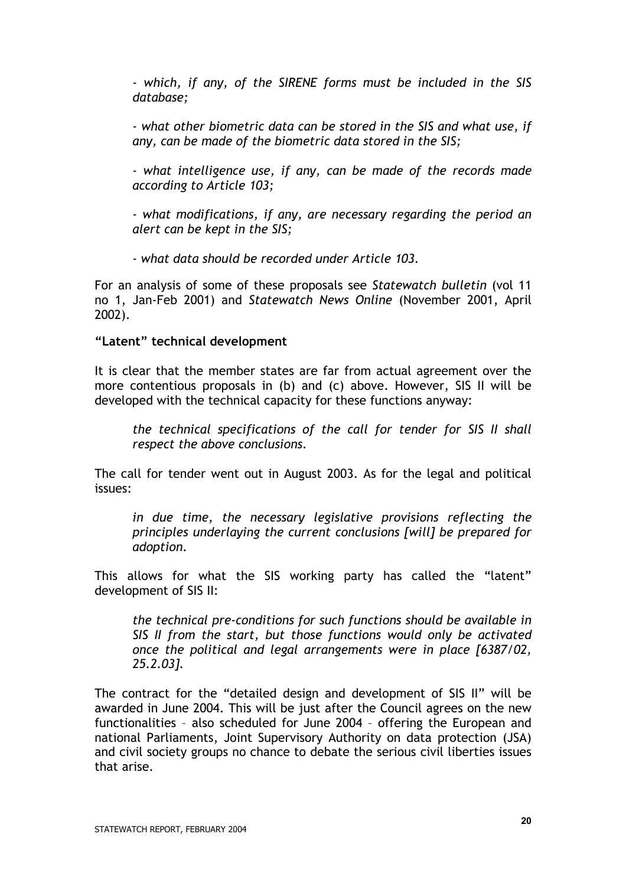*- which, if any, of the SIRENE forms must be included in the SIS database;* 

*- what other biometric data can be stored in the SIS and what use, if any, can be made of the biometric data stored in the SIS;* 

*- what intelligence use, if any, can be made of the records made according to Article 103;* 

*- what modifications, if any, are necessary regarding the period an alert can be kept in the SIS;* 

*- what data should be recorded under Article 103.*

For an analysis of some of these proposals see *Statewatch bulletin* (vol 11 no 1, Jan-Feb 2001) and *Statewatch News Online* (November 2001, April 2002).

#### **"Latent" technical development**

It is clear that the member states are far from actual agreement over the more contentious proposals in (b) and (c) above. However, SIS II will be developed with the technical capacity for these functions anyway:

*the technical specifications of the call for tender for SIS II shall respect the above conclusions.* 

The call for tender went out in August 2003. As for the legal and political issues:

*in due time, the necessary legislative provisions reflecting the principles underlaying the current conclusions [will] be prepared for adoption.*

This allows for what the SIS working party has called the "latent" development of SIS II:

*the technical pre-conditions for such functions should be available in SIS II from the start, but those functions would only be activated once the political and legal arrangements were in place [6387/02, 25.2.03].* 

The contract for the "detailed design and development of SIS II" will be awarded in June 2004. This will be just after the Council agrees on the new functionalities – also scheduled for June 2004 – offering the European and national Parliaments, Joint Supervisory Authority on data protection (JSA) and civil society groups no chance to debate the serious civil liberties issues that arise.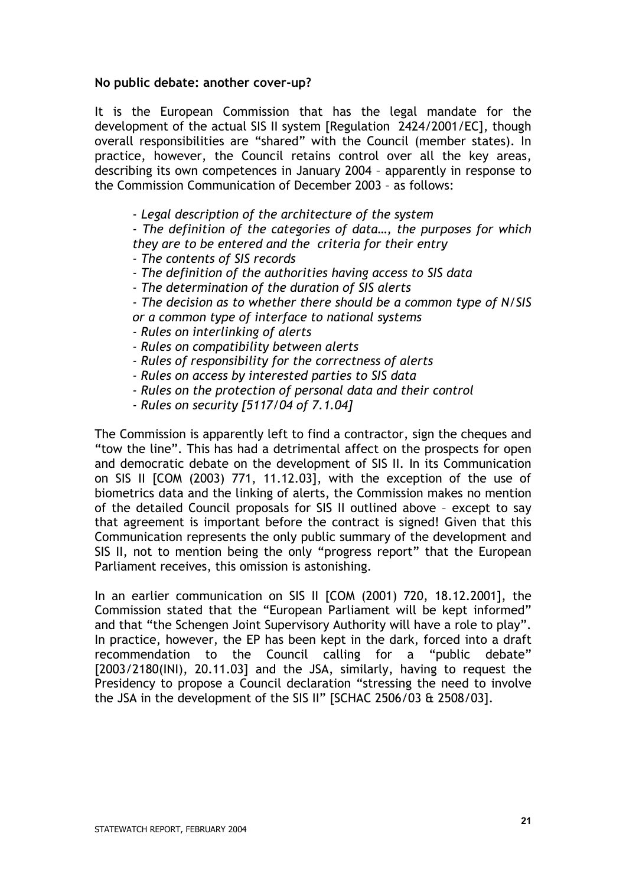# **No public debate: another cover-up?**

It is the European Commission that has the legal mandate for the development of the actual SIS II system [Regulation 2424/2001/EC], though overall responsibilities are "shared" with the Council (member states). In practice, however, the Council retains control over all the key areas, describing its own competences in January 2004 – apparently in response to the Commission Communication of December 2003 – as follows:

*- Legal description of the architecture of the system* 

*- The definition of the categories of data…, the purposes for which they are to be entered and the criteria for their entry* 

- *The contents of SIS records*
- *The definition of the authorities having access to SIS data*
- *The determination of the duration of SIS alerts*
- *The decision as to whether there should be a common type of N/SIS or a common type of interface to national systems*
- *Rules on interlinking of alerts*
- *Rules on compatibility between alerts*
- *Rules of responsibility for the correctness of alerts*
- *Rules on access by interested parties to SIS data*
- *Rules on the protection of personal data and their control*
- *Rules on security [5117/04 of 7.1.04]*

The Commission is apparently left to find a contractor, sign the cheques and "tow the line". This has had a detrimental affect on the prospects for open and democratic debate on the development of SIS II. In its Communication on SIS II [COM (2003) 771, 11.12.03], with the exception of the use of biometrics data and the linking of alerts, the Commission makes no mention of the detailed Council proposals for SIS II outlined above – except to say that agreement is important before the contract is signed! Given that this Communication represents the only public summary of the development and SIS II, not to mention being the only "progress report" that the European Parliament receives, this omission is astonishing.

In an earlier communication on SIS II [COM (2001) 720, 18.12.2001], the Commission stated that the "European Parliament will be kept informed" and that "the Schengen Joint Supervisory Authority will have a role to play". In practice, however, the EP has been kept in the dark, forced into a draft recommendation to the Council calling for a "public debate" [2003/2180(INI), 20.11.03] and the JSA, similarly, having to request the Presidency to propose a Council declaration "stressing the need to involve the JSA in the development of the SIS II" [SCHAC 2506/03 & 2508/03].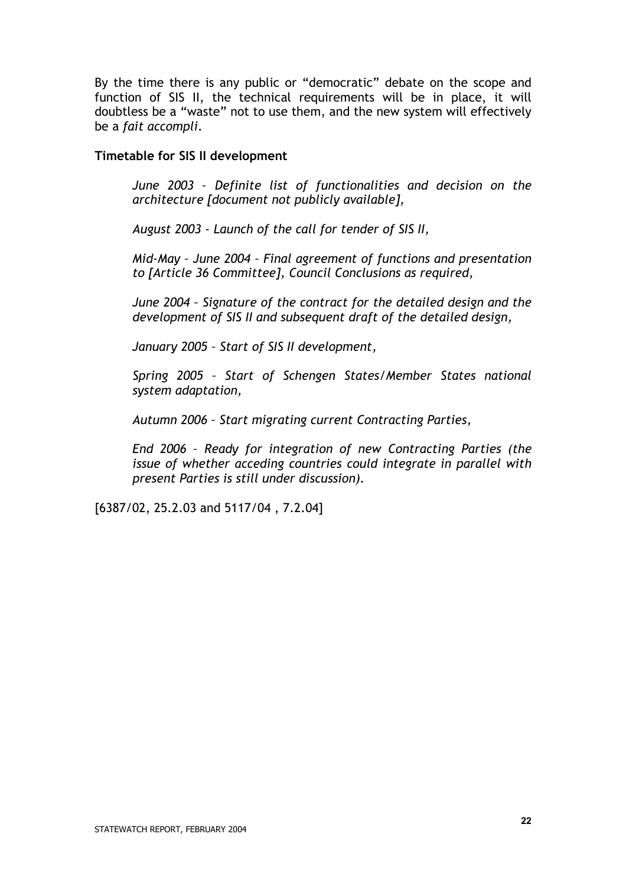By the time there is any public or "democratic" debate on the scope and function of SIS II, the technical requirements will be in place, it will doubtless be a "waste" not to use them, and the new system will effectively be a *fait accompli*.

## **Timetable for SIS II development**

*June 2003 – Definite list of functionalities and decision on the architecture [document not publicly available],* 

*August 2003 - Launch of the call for tender of SIS II,* 

*Mid-May – June 2004 – Final agreement of functions and presentation to [Article 36 Committee], Council Conclusions as required,* 

*June 2004 – Signature of the contract for the detailed design and the development of SIS II and subsequent draft of the detailed design,* 

*January 2005 – Start of SIS II development,* 

*Spring 2005 – Start of Schengen States/Member States national system adaptation,* 

*Autumn 2006 – Start migrating current Contracting Parties,* 

*End 2006 – Ready for integration of new Contracting Parties (the issue of whether acceding countries could integrate in parallel with present Parties is still under discussion).*

[6387/02, 25.2.03 and 5117/04 , 7.2.04]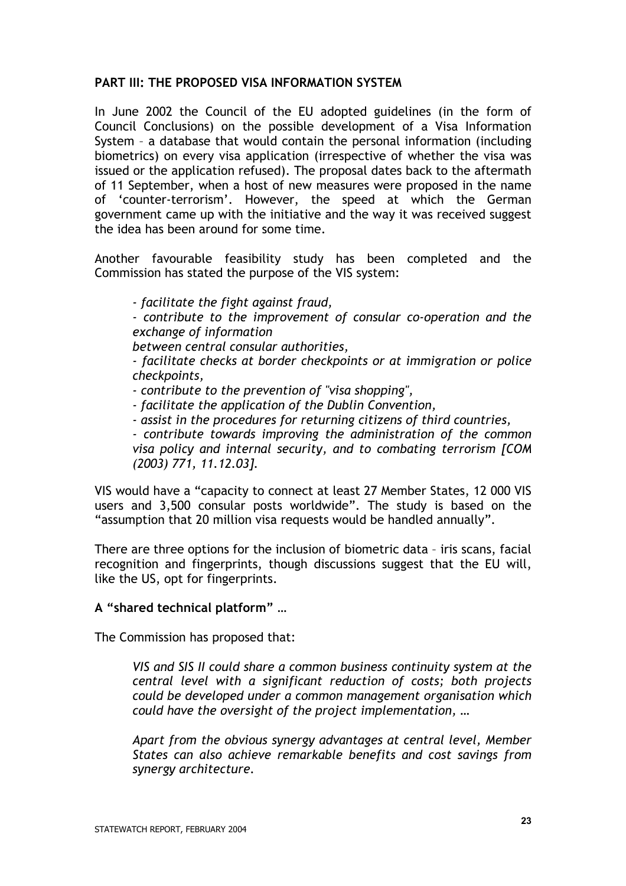## **PART III: THE PROPOSED VISA INFORMATION SYSTEM**

In June 2002 the Council of the EU adopted guidelines (in the form of Council Conclusions) on the possible development of a Visa Information System – a database that would contain the personal information (including biometrics) on every visa application (irrespective of whether the visa was issued or the application refused). The proposal dates back to the aftermath of 11 September, when a host of new measures were proposed in the name of 'counter-terrorism'. However, the speed at which the German government came up with the initiative and the way it was received suggest the idea has been around for some time.

Another favourable feasibility study has been completed and the Commission has stated the purpose of the VIS system:

*- facilitate the fight against fraud,* 

*- contribute to the improvement of consular co-operation and the exchange of information* 

*between central consular authorities,* 

*- facilitate checks at border checkpoints or at immigration or police checkpoints,* 

*- contribute to the prevention of "visa shopping",* 

*- facilitate the application of the Dublin Convention,* 

*- assist in the procedures for returning citizens of third countries,* 

*- contribute towards improving the administration of the common visa policy and internal security, and to combating terrorism [COM (2003) 771, 11.12.03].*

VIS would have a "capacity to connect at least 27 Member States, 12 000 VIS users and 3,500 consular posts worldwide". The study is based on the "assumption that 20 million visa requests would be handled annually".

There are three options for the inclusion of biometric data – iris scans, facial recognition and fingerprints, though discussions suggest that the EU will, like the US, opt for fingerprints.

# **A "shared technical platform" …**

The Commission has proposed that:

*VIS and SIS II could share a common business continuity system at the central level with a significant reduction of costs; both projects could be developed under a common management organisation which could have the oversight of the project implementation, …*

*Apart from the obvious synergy advantages at central level, Member States can also achieve remarkable benefits and cost savings from synergy architecture.*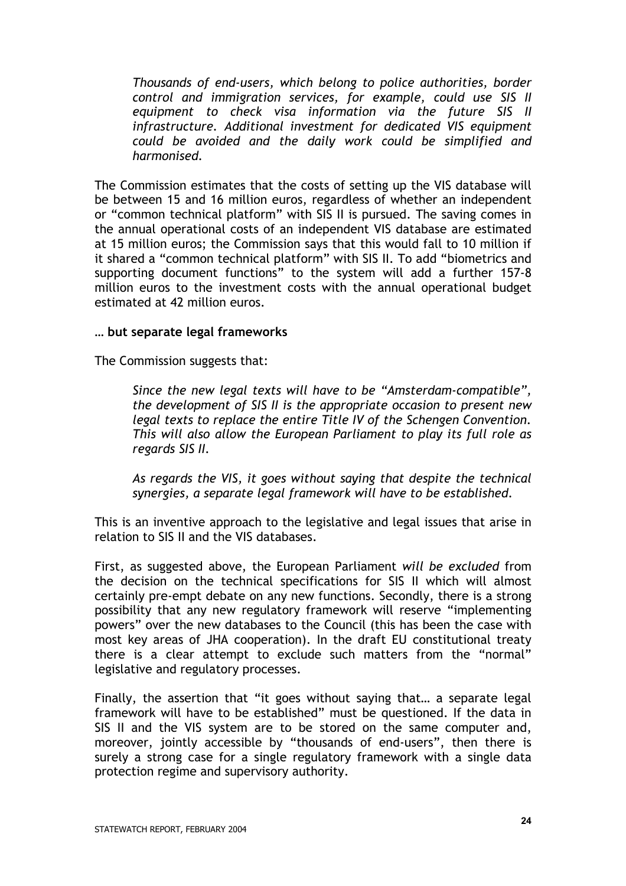*Thousands of end-users, which belong to police authorities, border control and immigration services, for example, could use SIS II equipment to check visa information via the future SIS II infrastructure. Additional investment for dedicated VIS equipment could be avoided and the daily work could be simplified and harmonised.*

The Commission estimates that the costs of setting up the VIS database will be between 15 and 16 million euros, regardless of whether an independent or "common technical platform" with SIS II is pursued. The saving comes in the annual operational costs of an independent VIS database are estimated at 15 million euros; the Commission says that this would fall to 10 million if it shared a "common technical platform" with SIS II. To add "biometrics and supporting document functions" to the system will add a further 157-8 million euros to the investment costs with the annual operational budget estimated at 42 million euros.

#### **… but separate legal frameworks**

The Commission suggests that:

*Since the new legal texts will have to be "Amsterdam-compatible", the development of SIS II is the appropriate occasion to present new legal texts to replace the entire Title IV of the Schengen Convention. This will also allow the European Parliament to play its full role as regards SIS II.* 

*As regards the VIS, it goes without saying that despite the technical synergies, a separate legal framework will have to be established.*

This is an inventive approach to the legislative and legal issues that arise in relation to SIS II and the VIS databases.

First, as suggested above, the European Parliament *will be excluded* from the decision on the technical specifications for SIS II which will almost certainly pre-empt debate on any new functions. Secondly, there is a strong possibility that any new regulatory framework will reserve "implementing powers" over the new databases to the Council (this has been the case with most key areas of JHA cooperation). In the draft EU constitutional treaty there is a clear attempt to exclude such matters from the "normal" legislative and regulatory processes.

Finally, the assertion that "it goes without saying that… a separate legal framework will have to be established" must be questioned. If the data in SIS II and the VIS system are to be stored on the same computer and, moreover, jointly accessible by "thousands of end-users", then there is surely a strong case for a single regulatory framework with a single data protection regime and supervisory authority.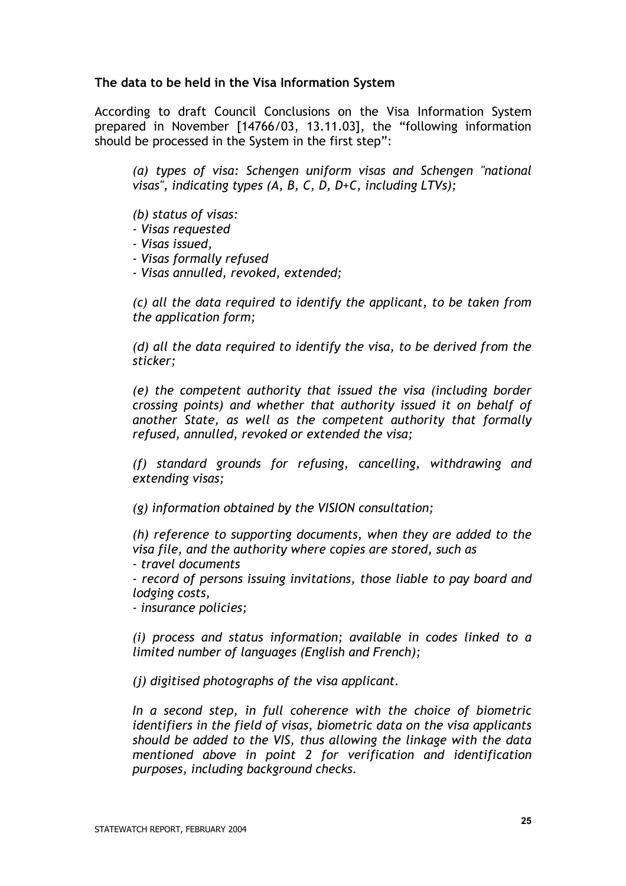## **The data to be held in the Visa Information System**

According to draft Council Conclusions on the Visa Information System prepared in November [14766/03, 13.11.03], the "following information should be processed in the System in the first step":

*(a) types of visa: Schengen uniform visas and Schengen "national visas", indicating types (A, B, C, D, D+C, including LTVs);* 

*(b) status of visas:* 

- *Visas requested*
- *Visas issued,*
- *Visas formally refused*
- *Visas annulled, revoked, extended;*

*(c) all the data required to identify the applicant, to be taken from the application form;* 

*(d) all the data required to identify the visa, to be derived from the sticker;* 

*(e) the competent authority that issued the visa (including border crossing points) and whether that authority issued it on behalf of another State, as well as the competent authority that formally refused, annulled, revoked or extended the visa;* 

*(f) standard grounds for refusing, cancelling, withdrawing and extending visas;* 

*(g) information obtained by the VISION consultation;*

*(h) reference to supporting documents, when they are added to the visa file, and the authority where copies are stored, such as* 

*- travel documents* 

*- record of persons issuing invitations, those liable to pay board and lodging costs,* 

*- insurance policies;* 

*(i) process and status information; available in codes linked to a limited number of languages (English and French);* 

*(j) digitised photographs of the visa applicant.*

*In a second step, in full coherence with the choice of biometric identifiers in the field of visas, biometric data on the visa applicants should be added to the VIS, thus allowing the linkage with the data mentioned above in point 2 for verification and identification purposes, including background checks.*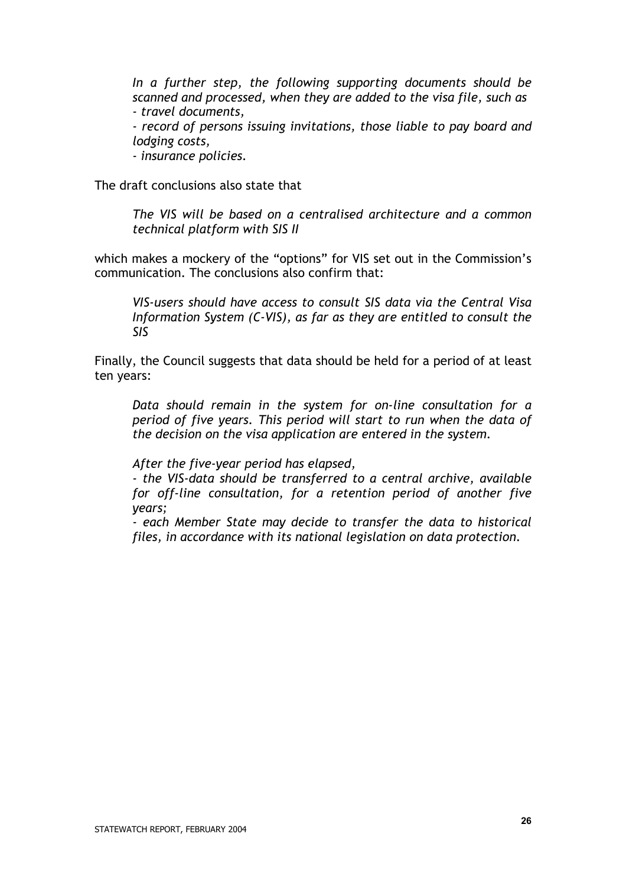*In a further step, the following supporting documents should be scanned and processed, when they are added to the visa file, such as - travel documents,* 

*- record of persons issuing invitations, those liable to pay board and lodging costs,* 

*- insurance policies.*

The draft conclusions also state that

*The VIS will be based on a centralised architecture and a common technical platform with SIS II*

which makes a mockery of the "options" for VIS set out in the Commission's communication. The conclusions also confirm that:

*VIS-users should have access to consult SIS data via the Central Visa Information System (C-VIS), as far as they are entitled to consult the SIS*

Finally, the Council suggests that data should be held for a period of at least ten years:

*Data should remain in the system for on-line consultation for a period of five years. This period will start to run when the data of the decision on the visa application are entered in the system.* 

*After the five-year period has elapsed,* 

*- the VIS-data should be transferred to a central archive, available for off-line consultation, for a retention period of another five years;* 

*- each Member State may decide to transfer the data to historical files, in accordance with its national legislation on data protection.*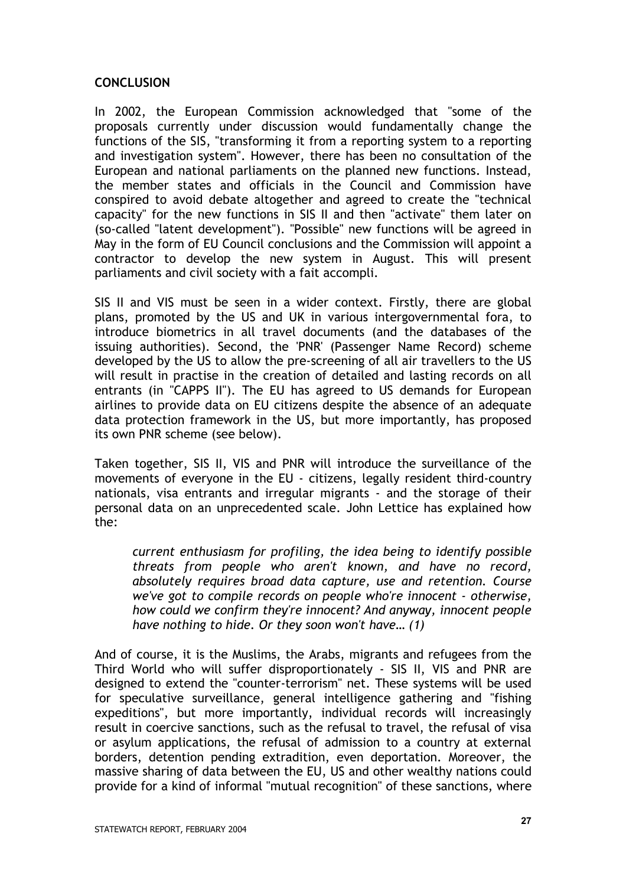## **CONCLUSION**

In 2002, the European Commission acknowledged that "some of the proposals currently under discussion would fundamentally change the functions of the SIS, "transforming it from a reporting system to a reporting and investigation system". However, there has been no consultation of the European and national parliaments on the planned new functions. Instead, the member states and officials in the Council and Commission have conspired to avoid debate altogether and agreed to create the "technical capacity" for the new functions in SIS II and then "activate" them later on (so-called "latent development"). "Possible" new functions will be agreed in May in the form of EU Council conclusions and the Commission will appoint a contractor to develop the new system in August. This will present parliaments and civil society with a fait accompli.

SIS II and VIS must be seen in a wider context. Firstly, there are global plans, promoted by the US and UK in various intergovernmental fora, to introduce biometrics in all travel documents (and the databases of the issuing authorities). Second, the 'PNR' (Passenger Name Record) scheme developed by the US to allow the pre-screening of all air travellers to the US will result in practise in the creation of detailed and lasting records on all entrants (in "CAPPS II"). The EU has agreed to US demands for European airlines to provide data on EU citizens despite the absence of an adequate data protection framework in the US, but more importantly, has proposed its own PNR scheme (see below).

Taken together, SIS II, VIS and PNR will introduce the surveillance of the movements of everyone in the EU - citizens, legally resident third-country nationals, visa entrants and irregular migrants - and the storage of their personal data on an unprecedented scale. John Lettice has explained how the:

*current enthusiasm for profiling, the idea being to identify possible threats from people who aren't known, and have no record, absolutely requires broad data capture, use and retention. Course we've got to compile records on people who're innocent - otherwise, how could we confirm they're innocent? And anyway, innocent people have nothing to hide. Or they soon won't have… (1)* 

And of course, it is the Muslims, the Arabs, migrants and refugees from the Third World who will suffer disproportionately - SIS II, VIS and PNR are designed to extend the "counter-terrorism" net. These systems will be used for speculative surveillance, general intelligence gathering and "fishing expeditions", but more importantly, individual records will increasingly result in coercive sanctions, such as the refusal to travel, the refusal of visa or asylum applications, the refusal of admission to a country at external borders, detention pending extradition, even deportation. Moreover, the massive sharing of data between the EU, US and other wealthy nations could provide for a kind of informal "mutual recognition" of these sanctions, where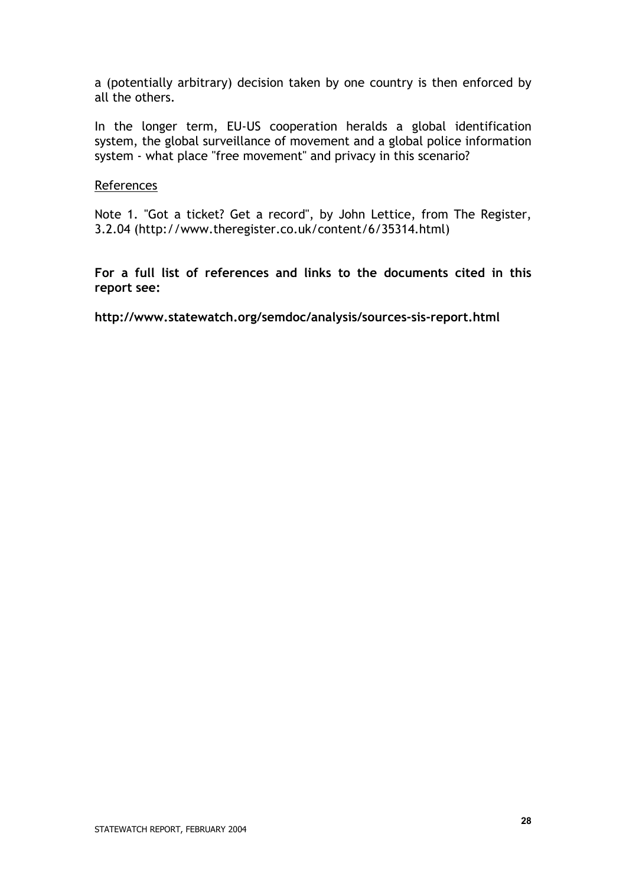a (potentially arbitrary) decision taken by one country is then enforced by all the others.

In the longer term, EU-US cooperation heralds a global identification system, the global surveillance of movement and a global police information system - what place "free movement" and privacy in this scenario?

#### References

Note 1. "Got a ticket? Get a record", by John Lettice, from The Register, 3.2.04 (http://www.theregister.co.uk/content/6/35314.html)

**For a full list of references and links to the documents cited in this report see:** 

**http://www.statewatch.org/semdoc/analysis/sources-sis-report.html**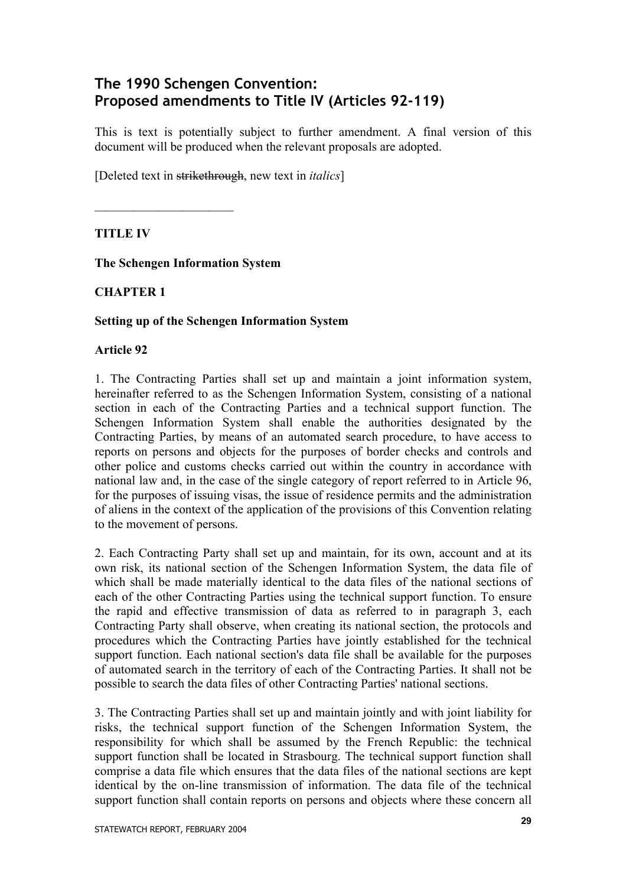# **The 1990 Schengen Convention: Proposed amendments to Title IV (Articles 92-119)**

This is text is potentially subject to further amendment. A final version of this document will be produced when the relevant proposals are adopted.

[Deleted text in strikethrough, new text in *italics*]

 $\mathcal{L}_\text{max}$  , where  $\mathcal{L}_\text{max}$  , we have the set of  $\mathcal{L}_\text{max}$ 

**TITLE IV** 

**The Schengen Information System** 

**CHAPTER 1** 

#### **Setting up of the Schengen Information System**

#### **Article 92**

1. The Contracting Parties shall set up and maintain a joint information system, hereinafter referred to as the Schengen Information System, consisting of a national section in each of the Contracting Parties and a technical support function. The Schengen Information System shall enable the authorities designated by the Contracting Parties, by means of an automated search procedure, to have access to reports on persons and objects for the purposes of border checks and controls and other police and customs checks carried out within the country in accordance with national law and, in the case of the single category of report referred to in Article 96, for the purposes of issuing visas, the issue of residence permits and the administration of aliens in the context of the application of the provisions of this Convention relating to the movement of persons.

2. Each Contracting Party shall set up and maintain, for its own, account and at its own risk, its national section of the Schengen Information System, the data file of which shall be made materially identical to the data files of the national sections of each of the other Contracting Parties using the technical support function. To ensure the rapid and effective transmission of data as referred to in paragraph 3, each Contracting Party shall observe, when creating its national section, the protocols and procedures which the Contracting Parties have jointly established for the technical support function. Each national section's data file shall be available for the purposes of automated search in the territory of each of the Contracting Parties. It shall not be possible to search the data files of other Contracting Parties' national sections.

3. The Contracting Parties shall set up and maintain jointly and with joint liability for risks, the technical support function of the Schengen Information System, the responsibility for which shall be assumed by the French Republic: the technical support function shall be located in Strasbourg. The technical support function shall comprise a data file which ensures that the data files of the national sections are kept identical by the on-line transmission of information. The data file of the technical support function shall contain reports on persons and objects where these concern all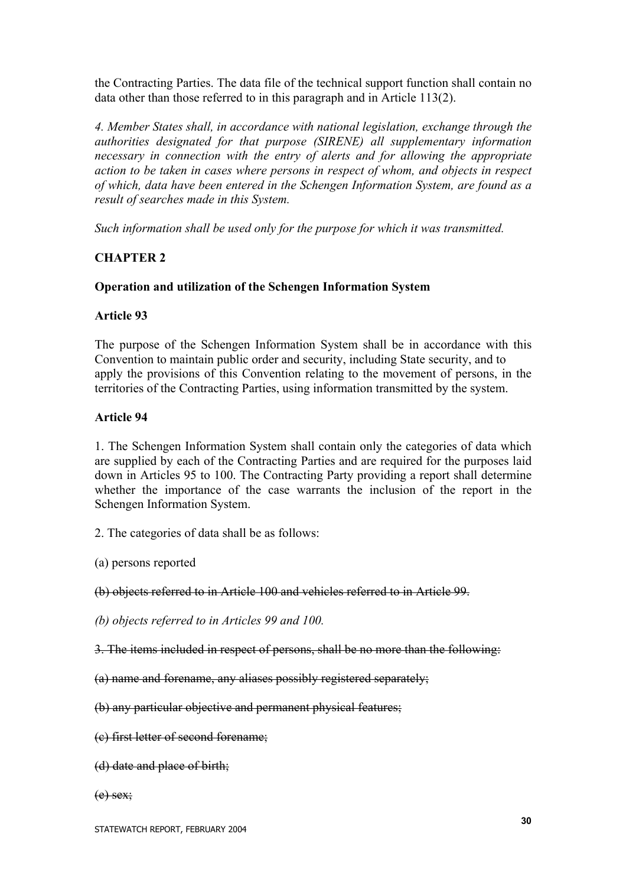the Contracting Parties. The data file of the technical support function shall contain no data other than those referred to in this paragraph and in Article 113(2).

*4. Member States shall, in accordance with national legislation, exchange through the authorities designated for that purpose (SIRENE) all supplementary information necessary in connection with the entry of alerts and for allowing the appropriate action to be taken in cases where persons in respect of whom, and objects in respect of which, data have been entered in the Schengen Information System, are found as a result of searches made in this System.* 

*Such information shall be used only for the purpose for which it was transmitted.*

# **CHAPTER 2**

# **Operation and utilization of the Schengen Information System**

## **Article 93**

The purpose of the Schengen Information System shall be in accordance with this Convention to maintain public order and security, including State security, and to apply the provisions of this Convention relating to the movement of persons, in the territories of the Contracting Parties, using information transmitted by the system.

## **Article 94**

1. The Schengen Information System shall contain only the categories of data which are supplied by each of the Contracting Parties and are required for the purposes laid down in Articles 95 to 100. The Contracting Party providing a report shall determine whether the importance of the case warrants the inclusion of the report in the Schengen Information System.

- 2. The categories of data shall be as follows:
- (a) persons reported
- (b) objects referred to in Article 100 and vehicles referred to in Article 99.
- *(b) objects referred to in Articles 99 and 100.*
- 3. The items included in respect of persons, shall be no more than the following:
- (a) name and forename, any aliases possibly registered separately;
- (b) any particular objective and permanent physical features;
- (c) first letter of second forename;
- (d) date and place of birth;
- $(e)$  sex;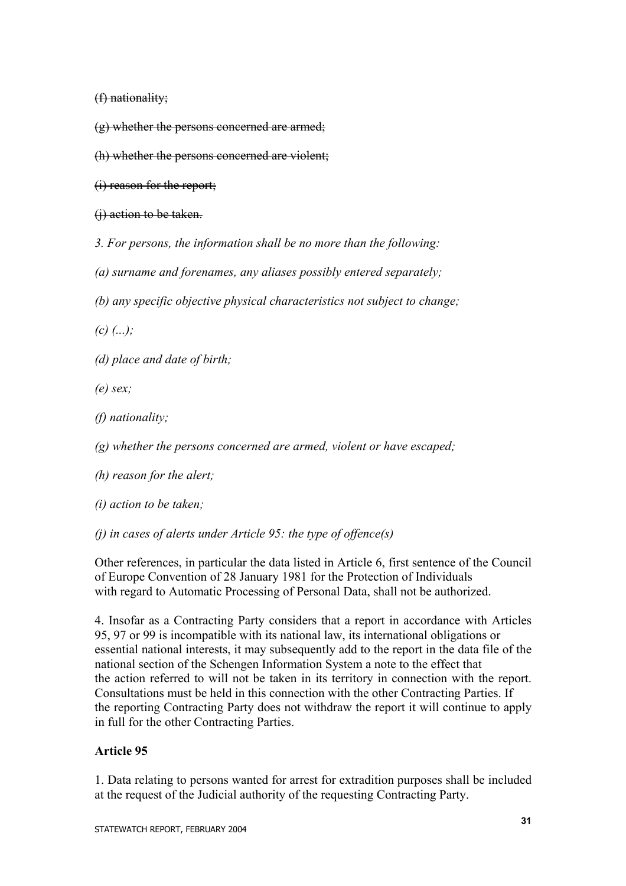(f) nationality;

(g) whether the persons concerned are armed;

(h) whether the persons concerned are violent;

(i) reason for the report;

(i) action to be taken.

*3. For persons, the information shall be no more than the following:* 

*(a) surname and forenames, any aliases possibly entered separately;* 

*(b) any specific objective physical characteristics not subject to change;* 

*(c) (...);* 

*(d) place and date of birth;* 

*(e) sex;* 

*(f) nationality;* 

*(g) whether the persons concerned are armed, violent or have escaped;* 

*(h) reason for the alert;* 

*(i) action to be taken;* 

*(j) in cases of alerts under Article 95: the type of offence(s)* 

Other references, in particular the data listed in Article 6, first sentence of the Council of Europe Convention of 28 January 1981 for the Protection of Individuals with regard to Automatic Processing of Personal Data, shall not be authorized.

4. Insofar as a Contracting Party considers that a report in accordance with Articles 95, 97 or 99 is incompatible with its national law, its international obligations or essential national interests, it may subsequently add to the report in the data file of the national section of the Schengen Information System a note to the effect that the action referred to will not be taken in its territory in connection with the report. Consultations must be held in this connection with the other Contracting Parties. If the reporting Contracting Party does not withdraw the report it will continue to apply in full for the other Contracting Parties.

# **Article 95**

1. Data relating to persons wanted for arrest for extradition purposes shall be included at the request of the Judicial authority of the requesting Contracting Party.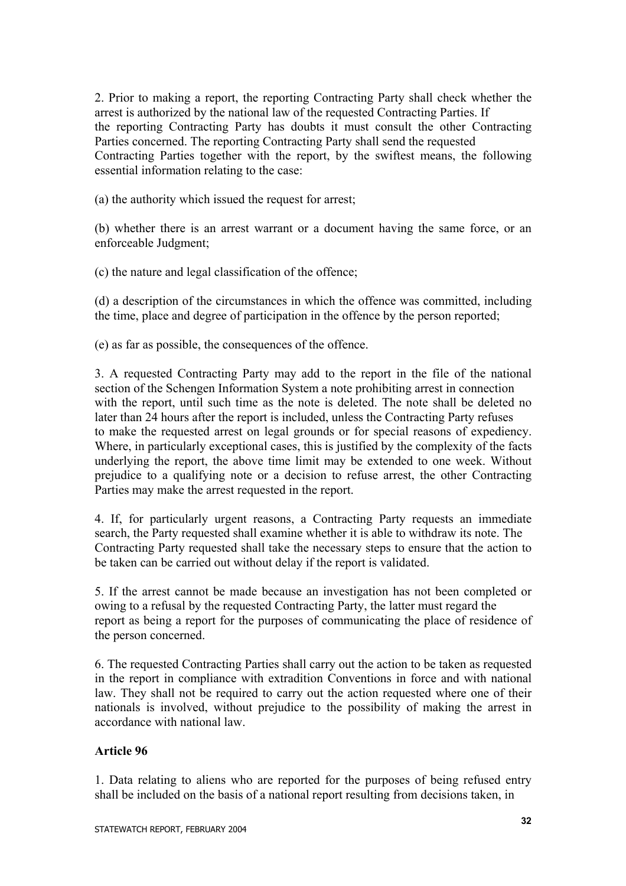2. Prior to making a report, the reporting Contracting Party shall check whether the arrest is authorized by the national law of the requested Contracting Parties. If the reporting Contracting Party has doubts it must consult the other Contracting Parties concerned. The reporting Contracting Party shall send the requested Contracting Parties together with the report, by the swiftest means, the following essential information relating to the case:

(a) the authority which issued the request for arrest;

(b) whether there is an arrest warrant or a document having the same force, or an enforceable Judgment;

(c) the nature and legal classification of the offence;

(d) a description of the circumstances in which the offence was committed, including the time, place and degree of participation in the offence by the person reported;

(e) as far as possible, the consequences of the offence.

3. A requested Contracting Party may add to the report in the file of the national section of the Schengen Information System a note prohibiting arrest in connection with the report, until such time as the note is deleted. The note shall be deleted no later than 24 hours after the report is included, unless the Contracting Party refuses to make the requested arrest on legal grounds or for special reasons of expediency. Where, in particularly exceptional cases, this is justified by the complexity of the facts underlying the report, the above time limit may be extended to one week. Without prejudice to a qualifying note or a decision to refuse arrest, the other Contracting Parties may make the arrest requested in the report.

4. If, for particularly urgent reasons, a Contracting Party requests an immediate search, the Party requested shall examine whether it is able to withdraw its note. The Contracting Party requested shall take the necessary steps to ensure that the action to be taken can be carried out without delay if the report is validated.

5. If the arrest cannot be made because an investigation has not been completed or owing to a refusal by the requested Contracting Party, the latter must regard the report as being a report for the purposes of communicating the place of residence of the person concerned.

6. The requested Contracting Parties shall carry out the action to be taken as requested in the report in compliance with extradition Conventions in force and with national law. They shall not be required to carry out the action requested where one of their nationals is involved, without prejudice to the possibility of making the arrest in accordance with national law.

# **Article 96**

1. Data relating to aliens who are reported for the purposes of being refused entry shall be included on the basis of a national report resulting from decisions taken, in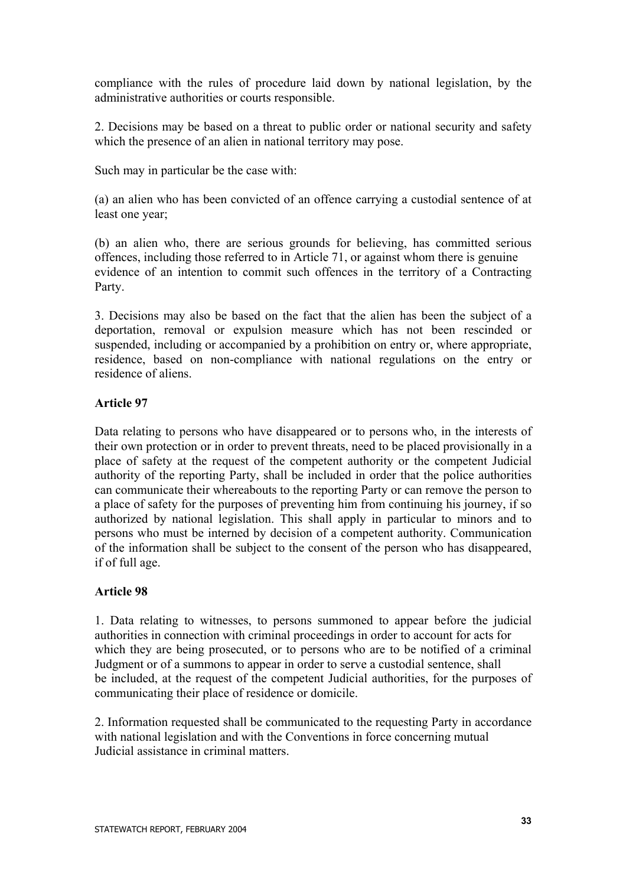compliance with the rules of procedure laid down by national legislation, by the administrative authorities or courts responsible.

2. Decisions may be based on a threat to public order or national security and safety which the presence of an alien in national territory may pose.

Such may in particular be the case with:

(a) an alien who has been convicted of an offence carrying a custodial sentence of at least one year;

(b) an alien who, there are serious grounds for believing, has committed serious offences, including those referred to in Article 71, or against whom there is genuine evidence of an intention to commit such offences in the territory of a Contracting Party.

3. Decisions may also be based on the fact that the alien has been the subject of a deportation, removal or expulsion measure which has not been rescinded or suspended, including or accompanied by a prohibition on entry or, where appropriate, residence, based on non-compliance with national regulations on the entry or residence of aliens.

# **Article 97**

Data relating to persons who have disappeared or to persons who, in the interests of their own protection or in order to prevent threats, need to be placed provisionally in a place of safety at the request of the competent authority or the competent Judicial authority of the reporting Party, shall be included in order that the police authorities can communicate their whereabouts to the reporting Party or can remove the person to a place of safety for the purposes of preventing him from continuing his journey, if so authorized by national legislation. This shall apply in particular to minors and to persons who must be interned by decision of a competent authority. Communication of the information shall be subject to the consent of the person who has disappeared, if of full age.

#### **Article 98**

1. Data relating to witnesses, to persons summoned to appear before the judicial authorities in connection with criminal proceedings in order to account for acts for which they are being prosecuted, or to persons who are to be notified of a criminal Judgment or of a summons to appear in order to serve a custodial sentence, shall be included, at the request of the competent Judicial authorities, for the purposes of communicating their place of residence or domicile.

2. Information requested shall be communicated to the requesting Party in accordance with national legislation and with the Conventions in force concerning mutual Judicial assistance in criminal matters.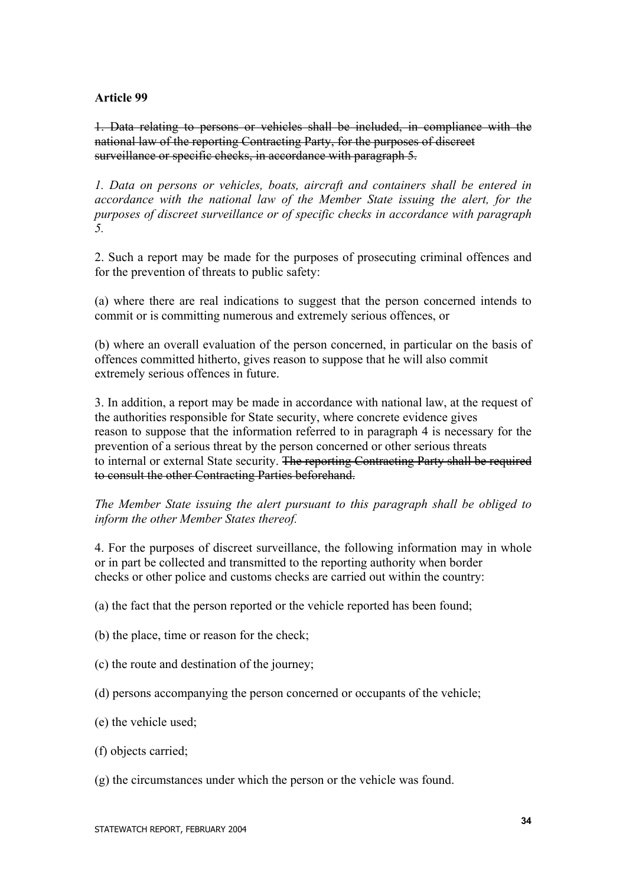#### **Article 99**

1. Data relating to persons or vehicles shall be included, in compliance with the national law of the reporting Contracting Party, for the purposes of discreet surveillance or specific checks, in accordance with paragraph 5.

*1. Data on persons or vehicles, boats, aircraft and containers shall be entered in accordance with the national law of the Member State issuing the alert, for the purposes of discreet surveillance or of specific checks in accordance with paragraph 5.* 

2. Such a report may be made for the purposes of prosecuting criminal offences and for the prevention of threats to public safety:

(a) where there are real indications to suggest that the person concerned intends to commit or is committing numerous and extremely serious offences, or

(b) where an overall evaluation of the person concerned, in particular on the basis of offences committed hitherto, gives reason to suppose that he will also commit extremely serious offences in future.

3. In addition, a report may be made in accordance with national law, at the request of the authorities responsible for State security, where concrete evidence gives reason to suppose that the information referred to in paragraph 4 is necessary for the prevention of a serious threat by the person concerned or other serious threats to internal or external State security. The reporting Contracting Party shall be required to consult the other Contracting Parties beforehand.

*The Member State issuing the alert pursuant to this paragraph shall be obliged to inform the other Member States thereof.* 

4. For the purposes of discreet surveillance, the following information may in whole or in part be collected and transmitted to the reporting authority when border checks or other police and customs checks are carried out within the country:

(a) the fact that the person reported or the vehicle reported has been found;

- (b) the place, time or reason for the check;
- (c) the route and destination of the journey;
- (d) persons accompanying the person concerned or occupants of the vehicle;
- (e) the vehicle used;
- (f) objects carried;
- (g) the circumstances under which the person or the vehicle was found.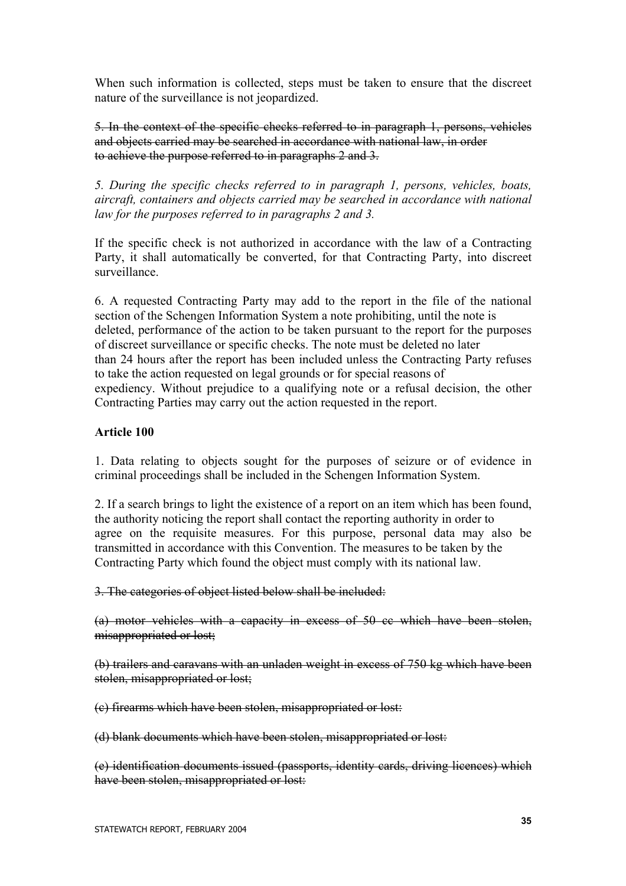When such information is collected, steps must be taken to ensure that the discreet nature of the surveillance is not jeopardized.

5. In the context of the specific checks referred to in paragraph 1, persons, vehicles and objects carried may be searched in accordance with national law, in order to achieve the purpose referred to in paragraphs 2 and 3.

*5. During the specific checks referred to in paragraph 1, persons, vehicles, boats, aircraft, containers and objects carried may be searched in accordance with national law for the purposes referred to in paragraphs 2 and 3.* 

If the specific check is not authorized in accordance with the law of a Contracting Party, it shall automatically be converted, for that Contracting Party, into discreet surveillance.

6. A requested Contracting Party may add to the report in the file of the national section of the Schengen Information System a note prohibiting, until the note is deleted, performance of the action to be taken pursuant to the report for the purposes of discreet surveillance or specific checks. The note must be deleted no later than 24 hours after the report has been included unless the Contracting Party refuses to take the action requested on legal grounds or for special reasons of expediency. Without prejudice to a qualifying note or a refusal decision, the other Contracting Parties may carry out the action requested in the report.

#### **Article 100**

1. Data relating to objects sought for the purposes of seizure or of evidence in criminal proceedings shall be included in the Schengen Information System.

2. If a search brings to light the existence of a report on an item which has been found, the authority noticing the report shall contact the reporting authority in order to agree on the requisite measures. For this purpose, personal data may also be transmitted in accordance with this Convention. The measures to be taken by the Contracting Party which found the object must comply with its national law.

3. The categories of object listed below shall be included:

(a) motor vehicles with a capacity in excess of 50 cc which have been stolen, misappropriated or lost;

(b) trailers and caravans with an unladen weight in excess of 750 kg which have been stolen, misappropriated or lost;

(c) firearms which have been stolen, misappropriated or lost:

(d) blank documents which have been stolen, misappropriated or lost:

(e) identification documents issued (passports, identity cards, driving licences) which have been stolen, misappropriated or lost: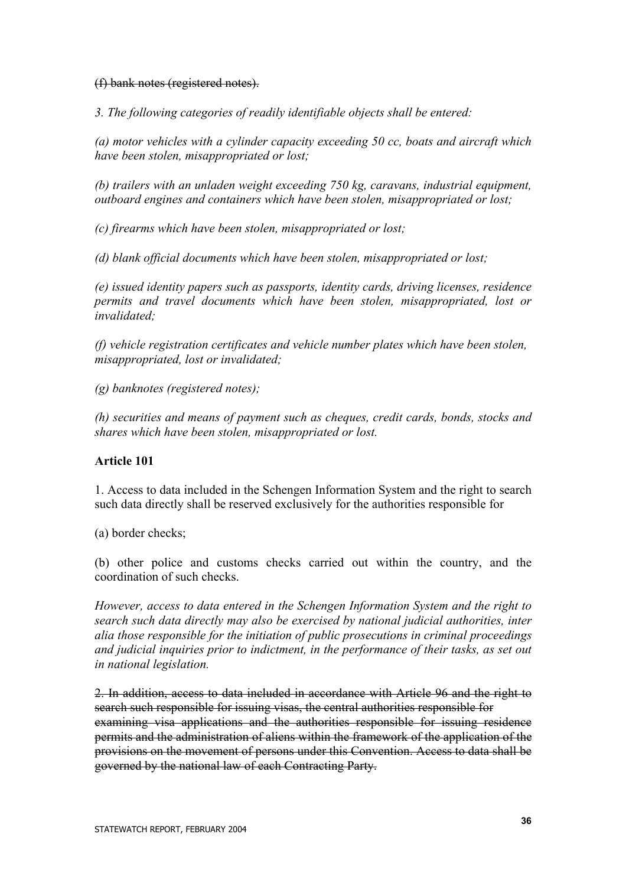#### (f) bank notes (registered notes).

*3. The following categories of readily identifiable objects shall be entered:* 

*(a) motor vehicles with a cylinder capacity exceeding 50 cc, boats and aircraft which have been stolen, misappropriated or lost;* 

*(b) trailers with an unladen weight exceeding 750 kg, caravans, industrial equipment, outboard engines and containers which have been stolen, misappropriated or lost;* 

*(c) firearms which have been stolen, misappropriated or lost;* 

*(d) blank official documents which have been stolen, misappropriated or lost;* 

*(e) issued identity papers such as passports, identity cards, driving licenses, residence permits and travel documents which have been stolen, misappropriated, lost or invalidated;* 

*(f) vehicle registration certificates and vehicle number plates which have been stolen, misappropriated, lost or invalidated;* 

*(g) banknotes (registered notes);* 

*(h) securities and means of payment such as cheques, credit cards, bonds, stocks and shares which have been stolen, misappropriated or lost.*

# **Article 101**

1. Access to data included in the Schengen Information System and the right to search such data directly shall be reserved exclusively for the authorities responsible for

(a) border checks;

(b) other police and customs checks carried out within the country, and the coordination of such checks.

*However, access to data entered in the Schengen Information System and the right to search such data directly may also be exercised by national judicial authorities, inter alia those responsible for the initiation of public prosecutions in criminal proceedings and judicial inquiries prior to indictment, in the performance of their tasks, as set out in national legislation.* 

2. In addition, access to data included in accordance with Article 96 and the right to search such responsible for issuing visas, the central authorities responsible for examining visa applications and the authorities responsible for issuing residence permits and the administration of aliens within the framework of the application of the provisions on the movement of persons under this Convention. Access to data shall be governed by the national law of each Contracting Party.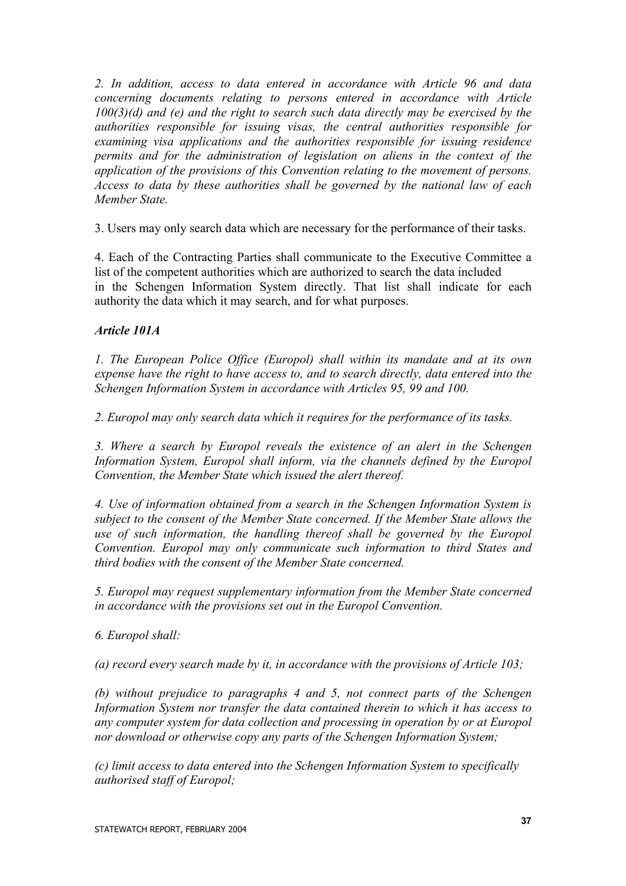*2. In addition, access to data entered in accordance with Article 96 and data concerning documents relating to persons entered in accordance with Article 100(3)(d) and (e) and the right to search such data directly may be exercised by the authorities responsible for issuing visas, the central authorities responsible for examining visa applications and the authorities responsible for issuing residence permits and for the administration of legislation on aliens in the context of the application of the provisions of this Convention relating to the movement of persons. Access to data by these authorities shall be governed by the national law of each Member State.* 

3. Users may only search data which are necessary for the performance of their tasks.

4. Each of the Contracting Parties shall communicate to the Executive Committee a list of the competent authorities which are authorized to search the data included in the Schengen Information System directly. That list shall indicate for each authority the data which it may search, and for what purposes.

## *Article 101A*

*1. The European Police Office (Europol) shall within its mandate and at its own expense have the right to have access to, and to search directly, data entered into the Schengen Information System in accordance with Articles 95, 99 and 100.* 

*2. Europol may only search data which it requires for the performance of its tasks.* 

*3. Where a search by Europol reveals the existence of an alert in the Schengen Information System, Europol shall inform, via the channels defined by the Europol Convention, the Member State which issued the alert thereof.* 

*4. Use of information obtained from a search in the Schengen Information System is subject to the consent of the Member State concerned. If the Member State allows the use of such information, the handling thereof shall be governed by the Europol Convention. Europol may only communicate such information to third States and third bodies with the consent of the Member State concerned.* 

*5. Europol may request supplementary information from the Member State concerned in accordance with the provisions set out in the Europol Convention.* 

*6. Europol shall:* 

*(a) record every search made by it, in accordance with the provisions of Article 103;* 

*(b) without prejudice to paragraphs 4 and 5, not connect parts of the Schengen Information System nor transfer the data contained therein to which it has access to any computer system for data collection and processing in operation by or at Europol nor download or otherwise copy any parts of the Schengen Information System;* 

*(c) limit access to data entered into the Schengen Information System to specifically authorised staff of Europol;*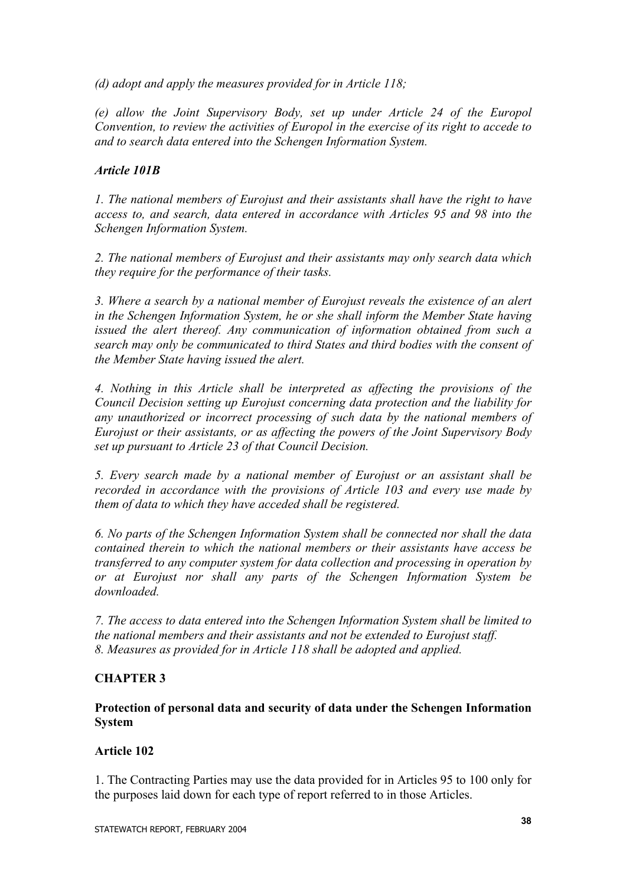*(d) adopt and apply the measures provided for in Article 118;* 

*(e) allow the Joint Supervisory Body, set up under Article 24 of the Europol Convention, to review the activities of Europol in the exercise of its right to accede to and to search data entered into the Schengen Information System.* 

# *Article 101B*

*1. The national members of Eurojust and their assistants shall have the right to have access to, and search, data entered in accordance with Articles 95 and 98 into the Schengen Information System.* 

*2. The national members of Eurojust and their assistants may only search data which they require for the performance of their tasks.* 

*3. Where a search by a national member of Eurojust reveals the existence of an alert in the Schengen Information System, he or she shall inform the Member State having issued the alert thereof. Any communication of information obtained from such a search may only be communicated to third States and third bodies with the consent of the Member State having issued the alert.* 

*4. Nothing in this Article shall be interpreted as affecting the provisions of the Council Decision setting up Eurojust concerning data protection and the liability for any unauthorized or incorrect processing of such data by the national members of Eurojust or their assistants, or as affecting the powers of the Joint Supervisory Body set up pursuant to Article 23 of that Council Decision.* 

*5. Every search made by a national member of Eurojust or an assistant shall be recorded in accordance with the provisions of Article 103 and every use made by them of data to which they have acceded shall be registered.* 

*6. No parts of the Schengen Information System shall be connected nor shall the data contained therein to which the national members or their assistants have access be transferred to any computer system for data collection and processing in operation by or at Eurojust nor shall any parts of the Schengen Information System be downloaded.* 

*7. The access to data entered into the Schengen Information System shall be limited to the national members and their assistants and not be extended to Eurojust staff. 8. Measures as provided for in Article 118 shall be adopted and applied.*

# **CHAPTER 3**

# **Protection of personal data and security of data under the Schengen Information System**

#### **Article 102**

1. The Contracting Parties may use the data provided for in Articles 95 to 100 only for the purposes laid down for each type of report referred to in those Articles.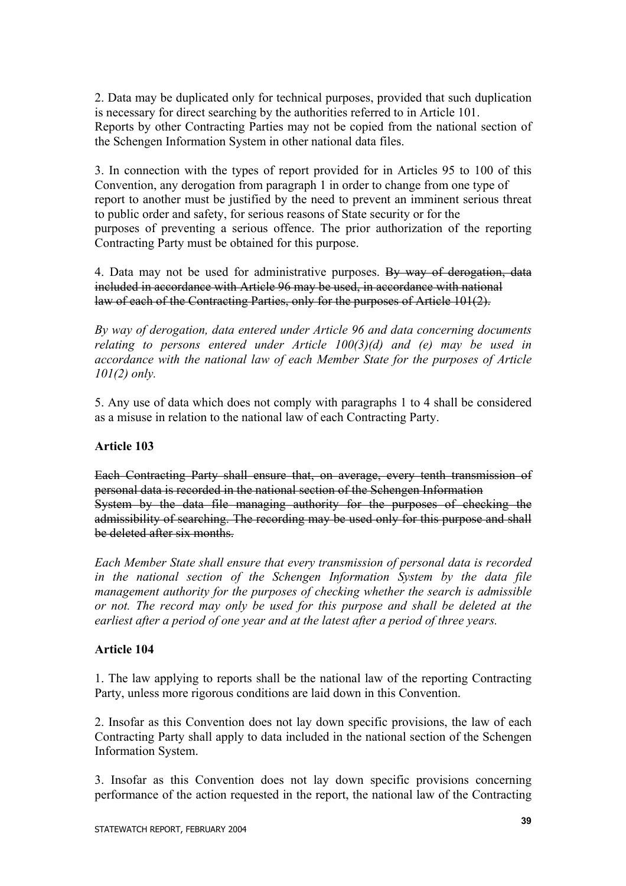2. Data may be duplicated only for technical purposes, provided that such duplication is necessary for direct searching by the authorities referred to in Article 101. Reports by other Contracting Parties may not be copied from the national section of the Schengen Information System in other national data files.

3. In connection with the types of report provided for in Articles 95 to 100 of this Convention, any derogation from paragraph 1 in order to change from one type of report to another must be justified by the need to prevent an imminent serious threat to public order and safety, for serious reasons of State security or for the purposes of preventing a serious offence. The prior authorization of the reporting Contracting Party must be obtained for this purpose.

4. Data may not be used for administrative purposes. By way of derogation, data included in accordance with Article 96 may be used, in accordance with national law of each of the Contracting Parties, only for the purposes of Article 101(2).

*By way of derogation, data entered under Article 96 and data concerning documents relating to persons entered under Article 100(3)(d) and (e) may be used in accordance with the national law of each Member State for the purposes of Article 101(2) only.* 

5. Any use of data which does not comply with paragraphs 1 to 4 shall be considered as a misuse in relation to the national law of each Contracting Party.

# **Article 103**

Each Contracting Party shall ensure that, on average, every tenth transmission of personal data is recorded in the national section of the Schengen Information System by the data file managing authority for the purposes of checking the admissibility of searching. The recording may be used only for this purpose and shall be deleted after six months.

*Each Member State shall ensure that every transmission of personal data is recorded in the national section of the Schengen Information System by the data file management authority for the purposes of checking whether the search is admissible or not. The record may only be used for this purpose and shall be deleted at the earliest after a period of one year and at the latest after a period of three years.* 

#### **Article 104**

1. The law applying to reports shall be the national law of the reporting Contracting Party, unless more rigorous conditions are laid down in this Convention.

2. Insofar as this Convention does not lay down specific provisions, the law of each Contracting Party shall apply to data included in the national section of the Schengen Information System.

3. Insofar as this Convention does not lay down specific provisions concerning performance of the action requested in the report, the national law of the Contracting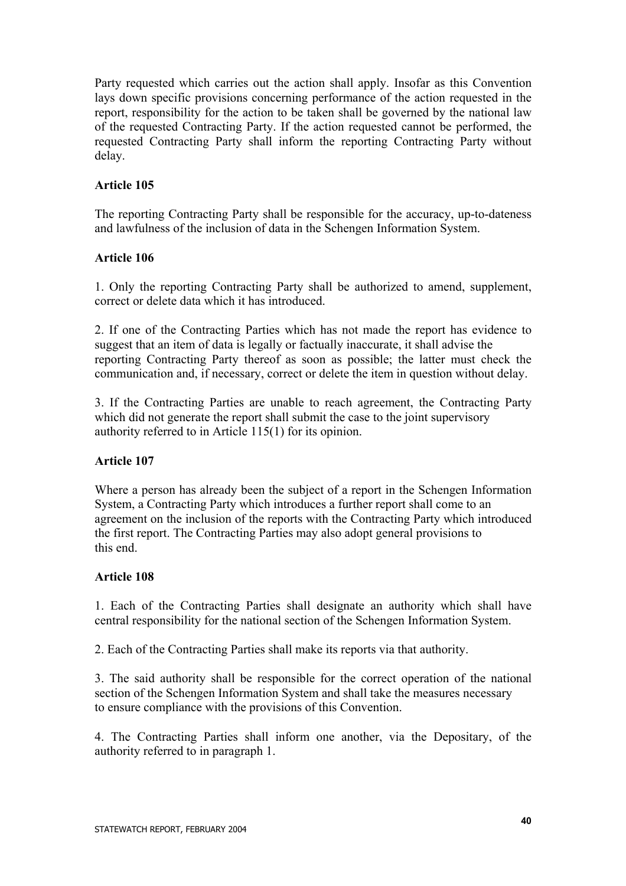Party requested which carries out the action shall apply. Insofar as this Convention lays down specific provisions concerning performance of the action requested in the report, responsibility for the action to be taken shall be governed by the national law of the requested Contracting Party. If the action requested cannot be performed, the requested Contracting Party shall inform the reporting Contracting Party without delay.

## **Article 105**

The reporting Contracting Party shall be responsible for the accuracy, up-to-dateness and lawfulness of the inclusion of data in the Schengen Information System.

## **Article 106**

1. Only the reporting Contracting Party shall be authorized to amend, supplement, correct or delete data which it has introduced.

2. If one of the Contracting Parties which has not made the report has evidence to suggest that an item of data is legally or factually inaccurate, it shall advise the reporting Contracting Party thereof as soon as possible; the latter must check the communication and, if necessary, correct or delete the item in question without delay.

3. If the Contracting Parties are unable to reach agreement, the Contracting Party which did not generate the report shall submit the case to the joint supervisory authority referred to in Article 115(1) for its opinion.

#### **Article 107**

Where a person has already been the subject of a report in the Schengen Information System, a Contracting Party which introduces a further report shall come to an agreement on the inclusion of the reports with the Contracting Party which introduced the first report. The Contracting Parties may also adopt general provisions to this end.

#### **Article 108**

1. Each of the Contracting Parties shall designate an authority which shall have central responsibility for the national section of the Schengen Information System.

2. Each of the Contracting Parties shall make its reports via that authority.

3. The said authority shall be responsible for the correct operation of the national section of the Schengen Information System and shall take the measures necessary to ensure compliance with the provisions of this Convention.

4. The Contracting Parties shall inform one another, via the Depositary, of the authority referred to in paragraph 1.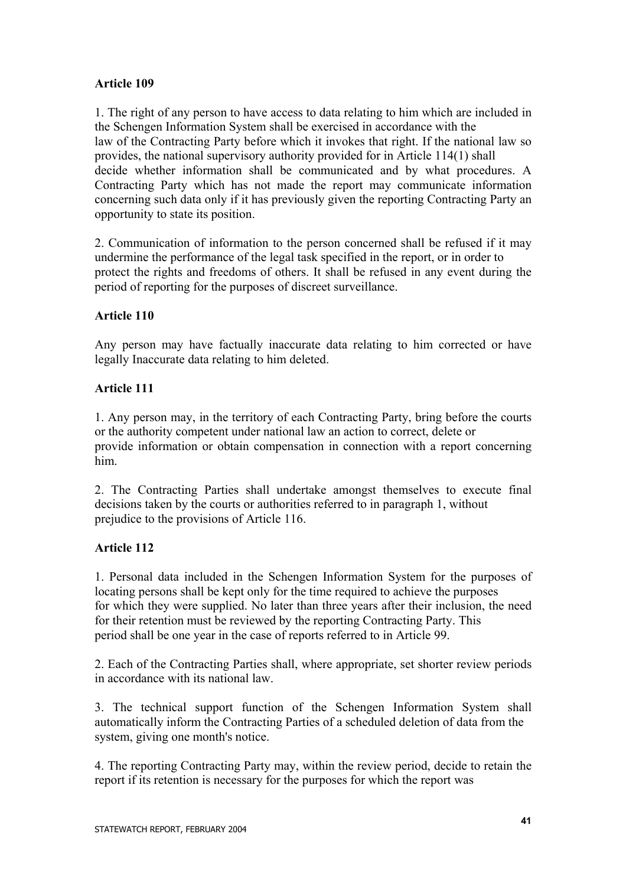# **Article 109**

1. The right of any person to have access to data relating to him which are included in the Schengen Information System shall be exercised in accordance with the law of the Contracting Party before which it invokes that right. If the national law so provides, the national supervisory authority provided for in Article 114(1) shall decide whether information shall be communicated and by what procedures. A Contracting Party which has not made the report may communicate information concerning such data only if it has previously given the reporting Contracting Party an opportunity to state its position.

2. Communication of information to the person concerned shall be refused if it may undermine the performance of the legal task specified in the report, or in order to protect the rights and freedoms of others. It shall be refused in any event during the period of reporting for the purposes of discreet surveillance.

## **Article 110**

Any person may have factually inaccurate data relating to him corrected or have legally Inaccurate data relating to him deleted.

## **Article 111**

1. Any person may, in the territory of each Contracting Party, bring before the courts or the authority competent under national law an action to correct, delete or provide information or obtain compensation in connection with a report concerning him.

2. The Contracting Parties shall undertake amongst themselves to execute final decisions taken by the courts or authorities referred to in paragraph 1, without prejudice to the provisions of Article 116.

# **Article 112**

1. Personal data included in the Schengen Information System for the purposes of locating persons shall be kept only for the time required to achieve the purposes for which they were supplied. No later than three years after their inclusion, the need for their retention must be reviewed by the reporting Contracting Party. This period shall be one year in the case of reports referred to in Article 99.

2. Each of the Contracting Parties shall, where appropriate, set shorter review periods in accordance with its national law.

3. The technical support function of the Schengen Information System shall automatically inform the Contracting Parties of a scheduled deletion of data from the system, giving one month's notice.

4. The reporting Contracting Party may, within the review period, decide to retain the report if its retention is necessary for the purposes for which the report was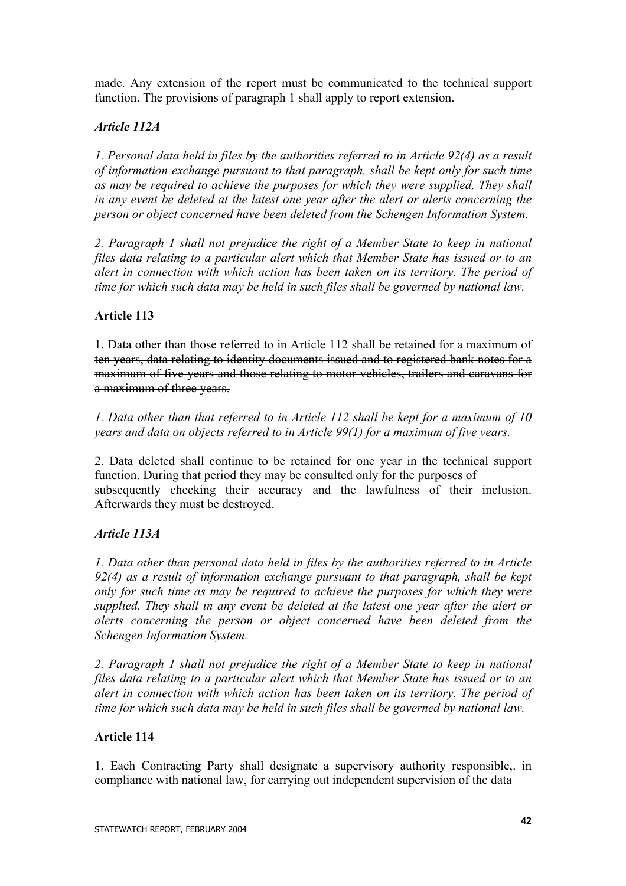made. Any extension of the report must be communicated to the technical support function. The provisions of paragraph 1 shall apply to report extension.

# *Article 112A*

*1. Personal data held in files by the authorities referred to in Article 92(4) as a result of information exchange pursuant to that paragraph, shall be kept only for such time as may be required to achieve the purposes for which they were supplied. They shall in any event be deleted at the latest one year after the alert or alerts concerning the person or object concerned have been deleted from the Schengen Information System.* 

*2. Paragraph 1 shall not prejudice the right of a Member State to keep in national files data relating to a particular alert which that Member State has issued or to an alert in connection with which action has been taken on its territory. The period of time for which such data may be held in such files shall be governed by national law.* 

# **Article 113**

1. Data other than those referred to in Article 112 shall be retained for a maximum of ten years, data relating to identity documents issued and to registered bank notes for a maximum of five years and those relating to motor vehicles, trailers and caravans for a maximum of three years.

*1. Data other than that referred to in Article 112 shall be kept for a maximum of 10 years and data on objects referred to in Article 99(1) for a maximum of five years.* 

2. Data deleted shall continue to be retained for one year in the technical support function. During that period they may be consulted only for the purposes of subsequently checking their accuracy and the lawfulness of their inclusion. Afterwards they must be destroyed.

# *Article 113A*

*1. Data other than personal data held in files by the authorities referred to in Article 92(4) as a result of information exchange pursuant to that paragraph, shall be kept only for such time as may be required to achieve the purposes for which they were supplied. They shall in any event be deleted at the latest one year after the alert or alerts concerning the person or object concerned have been deleted from the Schengen Information System.* 

*2. Paragraph 1 shall not prejudice the right of a Member State to keep in national files data relating to a particular alert which that Member State has issued or to an alert in connection with which action has been taken on its territory. The period of time for which such data may be held in such files shall be governed by national law.*

# **Article 114**

1. Each Contracting Party shall designate a supervisory authority responsible,. in compliance with national law, for carrying out independent supervision of the data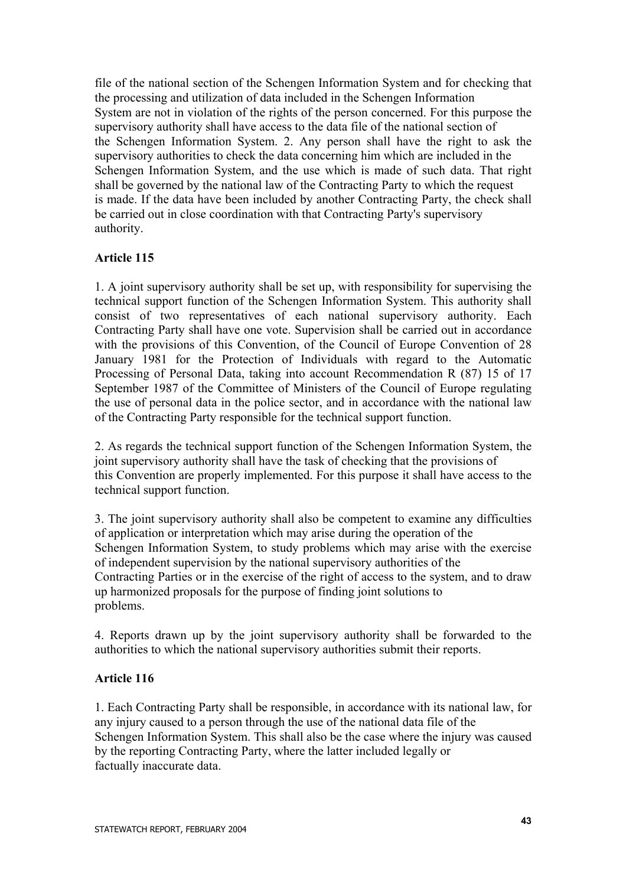file of the national section of the Schengen Information System and for checking that the processing and utilization of data included in the Schengen Information System are not in violation of the rights of the person concerned. For this purpose the supervisory authority shall have access to the data file of the national section of the Schengen Information System. 2. Any person shall have the right to ask the supervisory authorities to check the data concerning him which are included in the Schengen Information System, and the use which is made of such data. That right shall be governed by the national law of the Contracting Party to which the request is made. If the data have been included by another Contracting Party, the check shall be carried out in close coordination with that Contracting Party's supervisory authority.

## **Article 115**

1. A joint supervisory authority shall be set up, with responsibility for supervising the technical support function of the Schengen Information System. This authority shall consist of two representatives of each national supervisory authority. Each Contracting Party shall have one vote. Supervision shall be carried out in accordance with the provisions of this Convention, of the Council of Europe Convention of 28 January 1981 for the Protection of Individuals with regard to the Automatic Processing of Personal Data, taking into account Recommendation R (87) 15 of 17 September 1987 of the Committee of Ministers of the Council of Europe regulating the use of personal data in the police sector, and in accordance with the national law of the Contracting Party responsible for the technical support function.

2. As regards the technical support function of the Schengen Information System, the joint supervisory authority shall have the task of checking that the provisions of this Convention are properly implemented. For this purpose it shall have access to the technical support function.

3. The joint supervisory authority shall also be competent to examine any difficulties of application or interpretation which may arise during the operation of the Schengen Information System, to study problems which may arise with the exercise of independent supervision by the national supervisory authorities of the Contracting Parties or in the exercise of the right of access to the system, and to draw up harmonized proposals for the purpose of finding joint solutions to problems.

4. Reports drawn up by the joint supervisory authority shall be forwarded to the authorities to which the national supervisory authorities submit their reports.

# **Article 116**

1. Each Contracting Party shall be responsible, in accordance with its national law, for any injury caused to a person through the use of the national data file of the Schengen Information System. This shall also be the case where the injury was caused by the reporting Contracting Party, where the latter included legally or factually inaccurate data.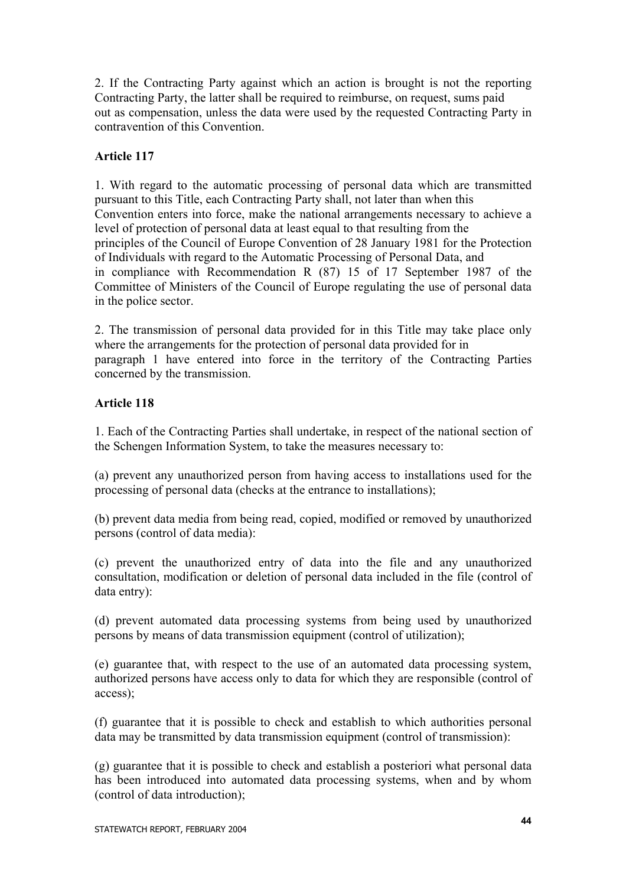2. If the Contracting Party against which an action is brought is not the reporting Contracting Party, the latter shall be required to reimburse, on request, sums paid out as compensation, unless the data were used by the requested Contracting Party in contravention of this Convention.

# **Article 117**

1. With regard to the automatic processing of personal data which are transmitted pursuant to this Title, each Contracting Party shall, not later than when this Convention enters into force, make the national arrangements necessary to achieve a level of protection of personal data at least equal to that resulting from the principles of the Council of Europe Convention of 28 January 1981 for the Protection of Individuals with regard to the Automatic Processing of Personal Data, and in compliance with Recommendation R (87) 15 of 17 September 1987 of the Committee of Ministers of the Council of Europe regulating the use of personal data in the police sector.

2. The transmission of personal data provided for in this Title may take place only where the arrangements for the protection of personal data provided for in paragraph 1 have entered into force in the territory of the Contracting Parties concerned by the transmission.

## **Article 118**

1. Each of the Contracting Parties shall undertake, in respect of the national section of the Schengen Information System, to take the measures necessary to:

(a) prevent any unauthorized person from having access to installations used for the processing of personal data (checks at the entrance to installations);

(b) prevent data media from being read, copied, modified or removed by unauthorized persons (control of data media):

(c) prevent the unauthorized entry of data into the file and any unauthorized consultation, modification or deletion of personal data included in the file (control of data entry):

(d) prevent automated data processing systems from being used by unauthorized persons by means of data transmission equipment (control of utilization);

(e) guarantee that, with respect to the use of an automated data processing system, authorized persons have access only to data for which they are responsible (control of access);

(f) guarantee that it is possible to check and establish to which authorities personal data may be transmitted by data transmission equipment (control of transmission):

(g) guarantee that it is possible to check and establish a posteriori what personal data has been introduced into automated data processing systems, when and by whom (control of data introduction);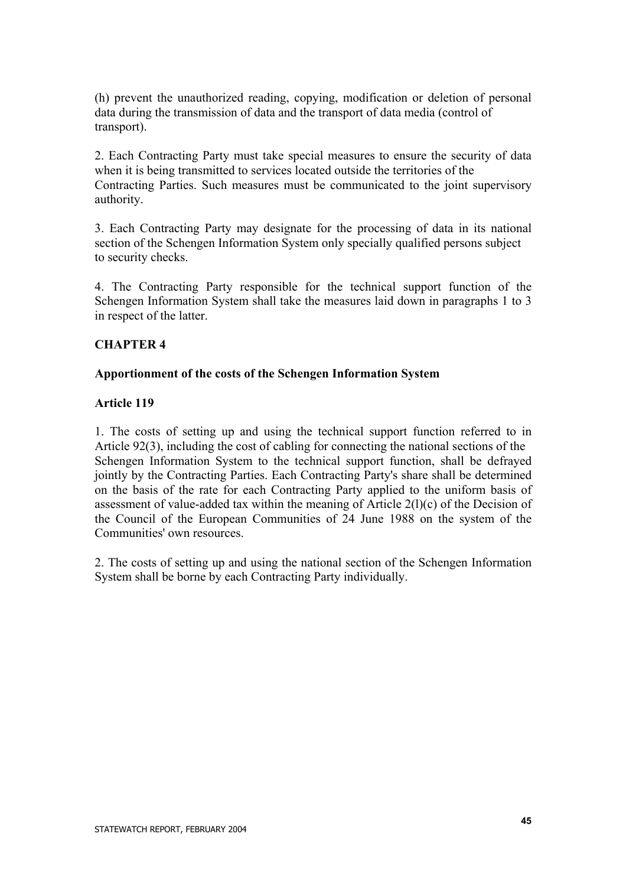(h) prevent the unauthorized reading, copying, modification or deletion of personal data during the transmission of data and the transport of data media (control of transport).

2. Each Contracting Party must take special measures to ensure the security of data when it is being transmitted to services located outside the territories of the Contracting Parties. Such measures must be communicated to the joint supervisory authority.

3. Each Contracting Party may designate for the processing of data in its national section of the Schengen Information System only specially qualified persons subject to security checks.

4. The Contracting Party responsible for the technical support function of the Schengen Information System shall take the measures laid down in paragraphs 1 to 3 in respect of the latter.

## **CHAPTER 4**

## **Apportionment of the costs of the Schengen Information System**

#### **Article 119**

1. The costs of setting up and using the technical support function referred to in Article 92(3), including the cost of cabling for connecting the national sections of the Schengen Information System to the technical support function, shall be defrayed jointly by the Contracting Parties. Each Contracting Party's share shall be determined on the basis of the rate for each Contracting Party applied to the uniform basis of assessment of value-added tax within the meaning of Article 2(l)(c) of the Decision of the Council of the European Communities of 24 June 1988 on the system of the Communities' own resources.

2. The costs of setting up and using the national section of the Schengen Information System shall be borne by each Contracting Party individually.